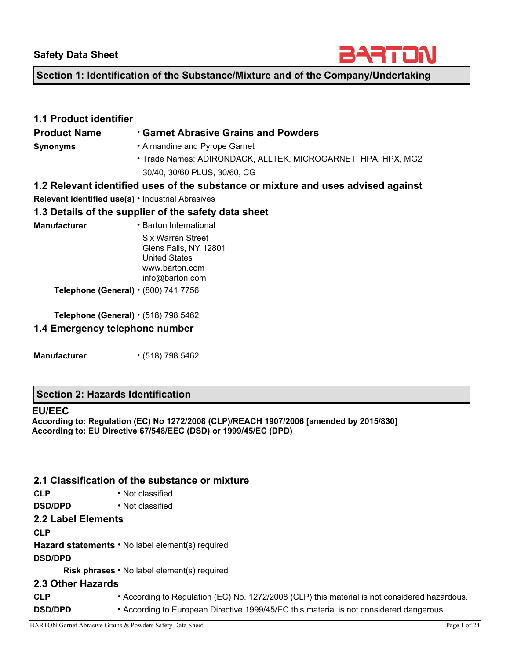

**Section 1: Identification of the Substance/Mixture and of the Company/Undertaking** 

| <b>1.1 Product identifier</b>              |                                                                                   |  |  |  |  |  |
|--------------------------------------------|-----------------------------------------------------------------------------------|--|--|--|--|--|
| <b>Product Name</b>                        | <b>Carnet Abrasive Grains and Powders</b> •                                       |  |  |  |  |  |
| <b>Synonyms</b>                            | • Almandine and Pyrope Garnet                                                     |  |  |  |  |  |
|                                            | • Trade Names: ADIRONDACK, ALLTEK, MICROGARNET, HPA, HPX, MG2                     |  |  |  |  |  |
|                                            | 30/40, 30/60 PLUS, 30/60, CG                                                      |  |  |  |  |  |
|                                            | 1.2 Relevant identified uses of the substance or mixture and uses advised against |  |  |  |  |  |
|                                            | <b>Relevant identified use(s)</b> • Industrial Abrasives                          |  |  |  |  |  |
|                                            | 1.3 Details of the supplier of the safety data sheet                              |  |  |  |  |  |
| <b>Manufacturer</b>                        | • Barton International                                                            |  |  |  |  |  |
|                                            | <b>Six Warren Street</b>                                                          |  |  |  |  |  |
|                                            | Glens Falls, NY 12801                                                             |  |  |  |  |  |
|                                            | <b>United States</b>                                                              |  |  |  |  |  |
|                                            | www.barton.com                                                                    |  |  |  |  |  |
|                                            | info@barton.com                                                                   |  |  |  |  |  |
| Telephone (General) $\cdot$ (800) 741 7756 |                                                                                   |  |  |  |  |  |

**Telephone (General)** • (518) 798 5462

### **1.4 Emergency telephone number**

**Manufacturer** • (518) 798 5462

### **Section 2: Hazards Identification**

#### **EU/EEC**

**According to: Regulation (EC) No 1272/2008 (CLP)/REACH 1907/2006 [amended by 2015/830] According to: EU Directive 67/548/EEC (DSD) or 1999/45/EC (DPD)** 

### **2.1 Classification of the substance or mixture**

- **CLP**  Not classified
- **DSD/DPD**  Not classified

# **2.2 Label Elements**

**CLP** 

**Hazard statements** • No label element(s) required

#### **DSD/DPD**

**Risk phrases** • No label element(s) required

#### **2.3 Other Hazards**

**CLP** • According to Regulation (EC) No. 1272/2008 (CLP) this material is not considered hazardous. **DSD/DPD** • According to European Directive 1999/45/EC this material is not considered dangerous.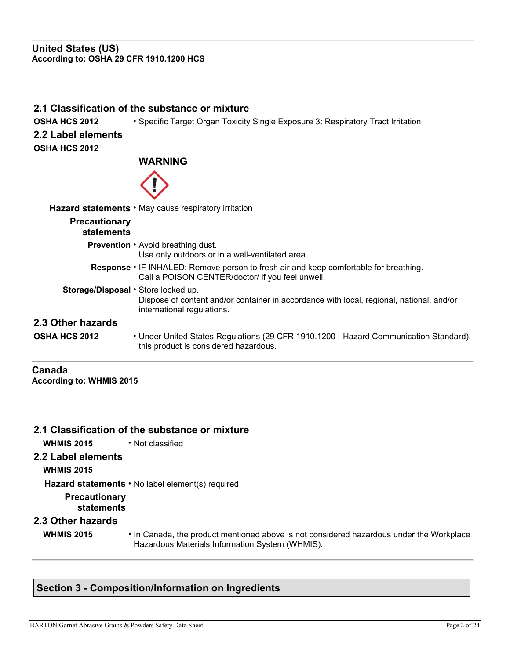#### **United States (US) According to: OSHA 29 CFR 1910.1200 HCS**

#### **2.1 Classification of the substance or mixture**

**OSHA HCS 2012** • Specific Target Organ Toxicity Single Exposure 3: Respiratory Tract Irritation

#### **2.2 Label elements OSHA HCS 2012**

## **WARNING**



|                                     | Hazard statements • May cause respiratory irritation                                                                                             |
|-------------------------------------|--------------------------------------------------------------------------------------------------------------------------------------------------|
| <b>Precautionary</b><br>statements  |                                                                                                                                                  |
|                                     | <b>Prevention • Avoid breathing dust.</b><br>Use only outdoors or in a well-ventilated area.                                                     |
|                                     | <b>Response •</b> IF INHALED: Remove person to fresh air and keep comfortable for breathing.<br>Call a POISON CENTER/doctor/ if you feel unwell. |
| Storage/Disposal . Store locked up. | Dispose of content and/or container in accordance with local, regional, national, and/or<br>international regulations.                           |
| 2.3 Other hazards                   |                                                                                                                                                  |
| OSHA HCS 2012                       | • Under United States Regulations (29 CFR 1910.1200 - Hazard Communication Standard),<br>this product is considered hazardous.                   |
|                                     |                                                                                                                                                  |

#### **Canada According to: WHMIS 2015**

## **2.1 Classification of the substance or mixture**

**WHMIS 2015** • Not classified

## **2.2 Label elements**

**WHMIS 2015** 

**Hazard statements** • No label element(s) required

## **Precautionary**

**statements** 

### **2.3 Other hazards**

- 
- **WHMIS 2015**  In Canada, the product mentioned above is not considered hazardous under the Workplace Hazardous Materials Information System (WHMIS).

# **Section 3 - Composition/Information on Ingredients**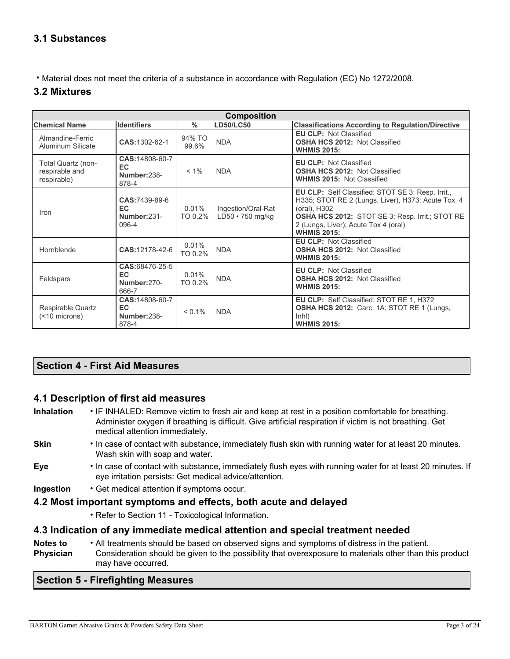# **3.1 Substances**

• Material does not meet the criteria of a substance in accordance with Regulation (EC) No 1272/2008.

## **3.2 Mixtures**

|                                                     | <b>Composition</b>                             |                     |                                        |                                                                                                                                                                                                                                                 |  |  |  |  |  |
|-----------------------------------------------------|------------------------------------------------|---------------------|----------------------------------------|-------------------------------------------------------------------------------------------------------------------------------------------------------------------------------------------------------------------------------------------------|--|--|--|--|--|
| <b>Chemical Name</b>                                | <b>Identifiers</b>                             | $\frac{0}{0}$       | <b>LD50/LC50</b>                       | <b>Classifications According to Regulation/Directive</b>                                                                                                                                                                                        |  |  |  |  |  |
| Almandine-Ferric<br>Aluminum Silicate               | CAS: 1302-62-1                                 | 94% TO<br>99.6%     | <b>NDA</b>                             | <b>EU CLP: Not Classified</b><br><b>OSHA HCS 2012: Not Classified</b><br><b>WHMIS 2015:</b>                                                                                                                                                     |  |  |  |  |  |
| Total Quartz (non-<br>respirable and<br>respirable) | CAS: 14808-60-7<br>EC.<br>Number:238-<br>878-4 | $< 1\%$             | <b>NDA</b>                             | <b>EU CLP: Not Classified</b><br><b>OSHA HCS 2012: Not Classified</b><br><b>WHMIS 2015: Not Classified</b>                                                                                                                                      |  |  |  |  |  |
| Iron                                                | CAS:7439-89-6<br>EC.<br>Number:231-<br>096-4   | $0.01\%$<br>TO 0.2% | Ingestion/Oral-Rat<br>LD50 · 750 mg/kg | EU CLP: Self Classified: STOT SE 3: Resp. Irrit.,<br>H335; STOT RE 2 (Lungs, Liver), H373; Acute Tox. 4<br>(oral), H302<br><b>OSHA HCS 2012: STOT SE 3: Resp. Irrit.; STOT RE</b><br>2 (Lungs, Liver); Acute Tox 4 (oral)<br><b>WHMIS 2015:</b> |  |  |  |  |  |
| Hornblende                                          | CAS:12178-42-6                                 | 0.01%<br>TO 0.2%    | <b>NDA</b>                             | <b>EU CLP: Not Classified</b><br>OSHA HCS 2012: Not Classified<br><b>WHMIS 2015:</b>                                                                                                                                                            |  |  |  |  |  |
| Feldspars                                           | CAS:68476-25-5<br>EC.<br>Number: 270-<br>666-7 | 0.01%<br>TO 0.2%    | <b>NDA</b>                             | <b>EU CLP: Not Classified</b><br><b>OSHA HCS 2012: Not Classified</b><br><b>WHMIS 2015:</b>                                                                                                                                                     |  |  |  |  |  |
| Respirable Quartz<br>(                              | CAS: 14808-60-7<br>EC.<br>Number:238-<br>878-4 | $< 0.1\%$           | <b>NDA</b>                             | EU CLP: Self Classified: STOT RE 1, H372<br>OSHA HCS 2012: Carc. 1A; STOT RE 1 (Lungs,<br>ln <sub>h</sub><br><b>WHMIS 2015:</b>                                                                                                                 |  |  |  |  |  |

## **Section 4 - First Aid Measures**

### **4.1 Description of first aid measures**

**Inhalation** • IF INHALED: Remove victim to fresh air and keep at rest in a position comfortable for breathing. Administer oxygen if breathing is difficult. Give artificial respiration if victim is not breathing. Get medical attention immediately.

- **Skin**  In case of contact with substance, immediately flush skin with running water for at least 20 minutes. Wash skin with soap and water.
- **Eye**  In case of contact with substance, immediately flush eyes with running water for at least 20 minutes. If eye irritation persists: Get medical advice/attention.
- **Ingestion**  Get medical attention if symptoms occur.

### **4.2 Most important symptoms and effects, both acute and delayed**

• Refer to Section 11 - Toxicological Information.

### **4.3 Indication of any immediate medical attention and special treatment needed**

**Notes to Physician**  • All treatments should be based on observed signs and symptoms of distress in the patient. Consideration should be given to the possibility that overexposure to materials other than this product may have occurred.

## **Section 5 - Firefighting Measures**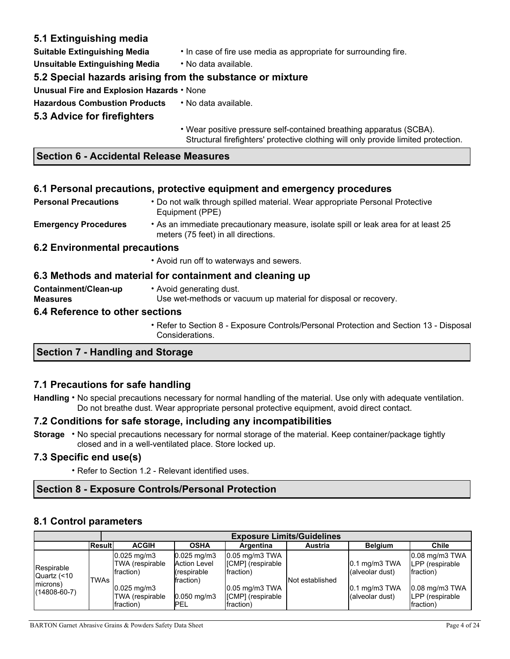## **5.1 Extinguishing media**

**Suitable Extinguishing Media** • In case of fire use media as appropriate for surrounding fire.

**Unsuitable Extinguishing Media** • No data available.

## **5.2 Special hazards arising from the substance or mixture**

**Unusual Fire and Explosion Hazards** • None

**Hazardous Combustion Products** • No data available.

## **5.3 Advice for firefighters**

• Wear positive pressure self-contained breathing apparatus (SCBA). Structural firefighters' protective clothing will only provide limited protection.

### **Section 6 - Accidental Release Measures**

### **6.1 Personal precautions, protective equipment and emergency procedures**

| <b>Personal Precautions</b>             | • Do not walk through spilled material. Wear appropriate Personal Protective<br>Equipment (PPE)                            |  |  |  |  |
|-----------------------------------------|----------------------------------------------------------------------------------------------------------------------------|--|--|--|--|
| <b>Emergency Procedures</b>             | • As an immediate precautionary measure, isolate spill or leak area for at least 25<br>meters (75 feet) in all directions. |  |  |  |  |
| 6.2 Environmental precautions           |                                                                                                                            |  |  |  |  |
|                                         | • Avoid run off to waterways and sewers.                                                                                   |  |  |  |  |
|                                         | 6.3 Methods and material for containment and cleaning up                                                                   |  |  |  |  |
| Containment/Clean-up<br><b>Measures</b> | • Avoid generating dust.<br>Use wet-methods or vacuum up material for disposal or recovery.                                |  |  |  |  |
| 6.4 Reference to other sections         |                                                                                                                            |  |  |  |  |
|                                         | • Refer to Section 8 - Exposure Controls/Personal Protection and Section 13 - Disposal                                     |  |  |  |  |

## **Section 7 - Handling and Storage**

### **7.1 Precautions for safe handling**

**Handling** • No special precautions necessary for normal handling of the material. Use only with adequate ventilation. Do not breathe dust. Wear appropriate personal protective equipment, avoid direct contact.

### **7.2 Conditions for safe storage, including any incompatibilities**

Considerations.

**Storage** • No special precautions necessary for normal storage of the material. Keep container/package tightly closed and in a well-ventilated place. Store locked up.

### **7.3 Specific end use(s)**

• Refer to Section 1.2 - Relevant identified uses.

## **Section 8 - Exposure Controls/Personal Protection**

### **8.1 Control parameters**

|                                |        |                                                  |                                                                     |                                                       | <b>Exposure Limits/Guidelines</b> |                                       |                                                      |
|--------------------------------|--------|--------------------------------------------------|---------------------------------------------------------------------|-------------------------------------------------------|-----------------------------------|---------------------------------------|------------------------------------------------------|
|                                | Result | <b>ACGIH</b>                                     | <b>OSHA</b>                                                         | Argentina                                             | Austria                           | <b>Belgium</b>                        | Chile                                                |
| Respirable<br>Quartz (<10      | TWAs   | $0.025$ mg/m $3$<br>TWA (respirable<br>fraction) | $0.025$ mg/m $3$<br><b>Action Level</b><br>(respirable<br>fraction) | $0.05$ mg/m $3$ TWA<br>[CMP] (respirable<br>fraction) | Not established                   | $0.1$ mg/m $3$ TWA<br>(alveolar dust) | $0.08$ mg/m3 TWA<br>LPP (respirable)<br>fraction)    |
| microns)<br>$(14808 - 60 - 7)$ |        | $0.025$ mg/m3<br>TWA (respirable<br>fraction)    | $0.050$ mg/m $3$<br><b>PEL</b>                                      | $0.05$ mg/m3 TWA<br>[CMP] (respirable<br>fraction)    |                                   | $0.1$ mg/m $3$ TWA<br>(alveolar dust) | $0.08$ mg/m $3$ TWA<br>LPP (respirable)<br>fraction) |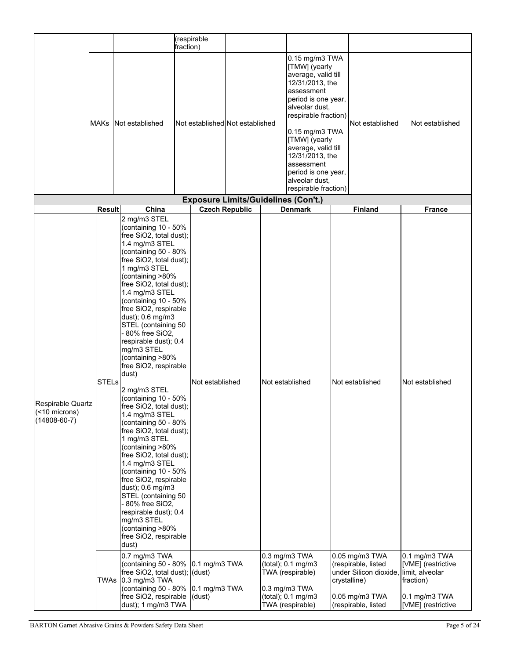|                                                          |               |                                                                                                                                                                                                                                                                                                                                                                                                                                                                                                                                                                                                                                                                                                                                                                                                                                                                             | (respirable<br>fraction)                   |                       |                                                                                                                                                                                                                                                                                                                      |                                                                                                |                        |                                                                                                            |
|----------------------------------------------------------|---------------|-----------------------------------------------------------------------------------------------------------------------------------------------------------------------------------------------------------------------------------------------------------------------------------------------------------------------------------------------------------------------------------------------------------------------------------------------------------------------------------------------------------------------------------------------------------------------------------------------------------------------------------------------------------------------------------------------------------------------------------------------------------------------------------------------------------------------------------------------------------------------------|--------------------------------------------|-----------------------|----------------------------------------------------------------------------------------------------------------------------------------------------------------------------------------------------------------------------------------------------------------------------------------------------------------------|------------------------------------------------------------------------------------------------|------------------------|------------------------------------------------------------------------------------------------------------|
|                                                          | <b>MAKs</b>   | Not established                                                                                                                                                                                                                                                                                                                                                                                                                                                                                                                                                                                                                                                                                                                                                                                                                                                             | Not established Not established            |                       | 0.15 mg/m3 TWA<br>[TMW] (yearly<br>average, valid till<br>12/31/2013, the<br>assessment<br>period is one year,<br>alveolar dust,<br>respirable fraction)<br>0.15 mg/m3 TWA<br>[TMW] (yearly<br>average, valid till<br>12/31/2013, the<br>assessment<br>period is one year,<br>alveolar dust,<br>respirable fraction) |                                                                                                | Not established        | Not established                                                                                            |
|                                                          |               |                                                                                                                                                                                                                                                                                                                                                                                                                                                                                                                                                                                                                                                                                                                                                                                                                                                                             | <b>Exposure Limits/Guidelines (Con't.)</b> |                       |                                                                                                                                                                                                                                                                                                                      |                                                                                                |                        |                                                                                                            |
|                                                          | <b>Result</b> | China                                                                                                                                                                                                                                                                                                                                                                                                                                                                                                                                                                                                                                                                                                                                                                                                                                                                       |                                            | <b>Czech Republic</b> | <b>Denmark</b>                                                                                                                                                                                                                                                                                                       |                                                                                                | <b>Finland</b>         | <b>France</b>                                                                                              |
| Respirable Quartz<br>(<10 microns)<br>$(14808 - 60 - 7)$ | <b>STELs</b>  | 2 mg/m3 STEL<br>(containing 10 - 50%<br>free SiO2, total dust);<br>1.4 mg/m3 STEL<br>(containing 50 - 80%<br>free SiO2, total dust);<br>1 mg/m3 STEL<br>(containing >80%<br>free SiO2, total dust);<br>1.4 mg/m3 STEL<br>(containing 10 - 50%<br>free SiO2, respirable<br>dust); 0.6 mg/m3<br>STEL (containing 50<br>- 80% free SiO2,<br>respirable dust); 0.4<br>mg/m3 STEL<br>(containing >80%<br>free SiO2, respirable<br>dust)<br>2 mg/m3 STEL<br>(containing 10 - 50%<br>tree $SiO2$ , total dust);<br>1.4 mg/m3 STEL<br>(containing 50 - 80%<br>free SiO2, total dust);<br>1 mg/m3 STEL<br>(containing >80%<br>free SiO2, total dust);<br>1.4 mg/m3 STEL<br>(containing 10 - 50%<br>free SiO2, respirable<br>dust); 0.6 mg/m3<br>STEL (containing 50<br>- 80% free SiO2,<br>respirable dust); 0.4<br>mg/m3 STEL<br>(containing >80%<br>free SiO2, respirable<br>dust) | Not established                            |                       | Not established                                                                                                                                                                                                                                                                                                      | Not established                                                                                |                        | Not established                                                                                            |
|                                                          |               | 0.7 mg/m3 TWA<br>(containing 50 - 80%<br>free SiO2, total dust); (dust)<br>TWAs 0.3 mg/m3 TWA<br>(containing 50 - 80% 0.1 mg/m3 TWA<br>free SiO2, respirable<br>dust); 1 mg/m3 TWA                                                                                                                                                                                                                                                                                                                                                                                                                                                                                                                                                                                                                                                                                          | 0.1 mg/m3 TWA<br>(dust)                    |                       | 0.3 mg/m3 TWA<br>(total); 0.1 mg/m3<br>TWA (respirable)<br>$0.3$ mg/m $3$ TWA<br>(total); 0.1 mg/m3<br>TWA (respirable)                                                                                                                                                                                              | 0.05 mg/m3 TWA<br>(respirable, listed<br>crystalline)<br>0.05 mg/m3 TWA<br>(respirable, listed | under Silicon dioxide, | 0.1 mg/m3 TWA<br>[VME] (restrictive<br>limit, alveolar<br>fraction)<br>0.1 mg/m3 TWA<br>[VME] (restrictive |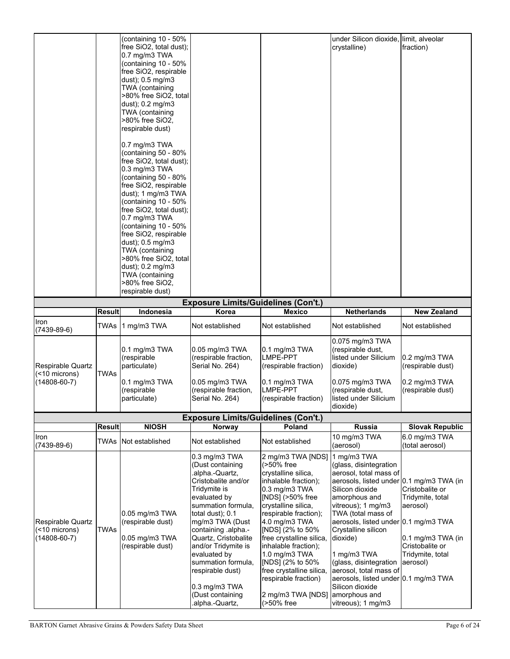|                                                                 |               | (containing 10 - 50%<br>free SiO2, total dust);<br>0.7 mg/m3 TWA<br>(containing 10 - 50%<br>free SiO2, respirable<br>dust); 0.5 mg/m3<br>TWA (containing<br>>80% free SiO2, total<br>dust); 0.2 mg/m3<br>TWA (containing<br>>80% free SiO2,<br>respirable dust)<br>0.7 mg/m3 TWA<br>(containing 50 - 80%<br>free SiO2, total dust);<br>$0.3$ mg/m $3$ TWA<br>(containing 50 - 80%<br>free SiO2, respirable<br>dust); 1 mg/m3 TWA<br>(containing 10 - 50%<br>free SiO2, total dust);<br>0.7 mg/m3 TWA<br>(containing 10 - 50%<br>free SiO2, respirable<br>dust); 0.5 mg/m3<br>TWA (containing<br>>80% free SiO2, total<br>dust); 0.2 mg/m3<br>TWA (containing<br>>80% free SiO2,<br>respirable dust) |                                                                                                                                                                                                                                                                                                                                                                  |                                                                                                                                                                                                                                                                                                                                                                                          | under Silicon dioxide, limit, alveolar<br>crystalline)                                                                                                                                                                                                                                                                                                                                                                                      | fraction)                                                                                                                          |
|-----------------------------------------------------------------|---------------|-----------------------------------------------------------------------------------------------------------------------------------------------------------------------------------------------------------------------------------------------------------------------------------------------------------------------------------------------------------------------------------------------------------------------------------------------------------------------------------------------------------------------------------------------------------------------------------------------------------------------------------------------------------------------------------------------------|------------------------------------------------------------------------------------------------------------------------------------------------------------------------------------------------------------------------------------------------------------------------------------------------------------------------------------------------------------------|------------------------------------------------------------------------------------------------------------------------------------------------------------------------------------------------------------------------------------------------------------------------------------------------------------------------------------------------------------------------------------------|---------------------------------------------------------------------------------------------------------------------------------------------------------------------------------------------------------------------------------------------------------------------------------------------------------------------------------------------------------------------------------------------------------------------------------------------|------------------------------------------------------------------------------------------------------------------------------------|
|                                                                 |               |                                                                                                                                                                                                                                                                                                                                                                                                                                                                                                                                                                                                                                                                                                     | <b>Exposure Limits/Guidelines (Con't.)</b>                                                                                                                                                                                                                                                                                                                       |                                                                                                                                                                                                                                                                                                                                                                                          |                                                                                                                                                                                                                                                                                                                                                                                                                                             |                                                                                                                                    |
|                                                                 | <b>Result</b> | Indonesia                                                                                                                                                                                                                                                                                                                                                                                                                                                                                                                                                                                                                                                                                           | Korea                                                                                                                                                                                                                                                                                                                                                            | <b>Mexico</b>                                                                                                                                                                                                                                                                                                                                                                            | <b>Netherlands</b>                                                                                                                                                                                                                                                                                                                                                                                                                          | <b>New Zealand</b>                                                                                                                 |
| Iron<br>$(7439 - 89 - 6)$                                       | TWAs          | 1 mg/m3 TWA                                                                                                                                                                                                                                                                                                                                                                                                                                                                                                                                                                                                                                                                                         | Not established                                                                                                                                                                                                                                                                                                                                                  | Not established                                                                                                                                                                                                                                                                                                                                                                          | Not established                                                                                                                                                                                                                                                                                                                                                                                                                             | Not established                                                                                                                    |
| <b>Respirable Quartz</b><br>(<10 microns)<br>$(14808 - 60 - 7)$ | <b>TWAs</b>   | $0.1$ mg/m $3$ TWA<br>(respirable<br>particulate)<br>$0.1$ mg/m $3$ TWA<br>(respirable<br>particulate)                                                                                                                                                                                                                                                                                                                                                                                                                                                                                                                                                                                              | 0.05 mg/m3 TWA<br>(respirable fraction,<br>Serial No. 264)<br>0.05 mg/m3 TWA<br>(respirable fraction,<br>Serial No. 264)                                                                                                                                                                                                                                         | $0.1$ mg/m $3$ TWA<br><b>LMPE-PPT</b><br>(respirable fraction)<br>$0.1$ mg/m $3$ TWA<br><b>LMPE-PPT</b><br>(respirable fraction)                                                                                                                                                                                                                                                         | 0.075 mg/m3 TWA<br>(respirable dust,<br>listed under Silicium<br>dioxide)<br>0.075 mg/m3 TWA<br>(respirable dust,<br>listed under Silicium<br>dioxide)                                                                                                                                                                                                                                                                                      | $0.2$ mg/m $3$ TWA<br>(respirable dust)<br>$0.2 \text{ mg/m}3$ TWA<br>(respirable dust)                                            |
|                                                                 |               |                                                                                                                                                                                                                                                                                                                                                                                                                                                                                                                                                                                                                                                                                                     | <b>Exposure Limits/Guidelines (Con't.)</b>                                                                                                                                                                                                                                                                                                                       |                                                                                                                                                                                                                                                                                                                                                                                          |                                                                                                                                                                                                                                                                                                                                                                                                                                             |                                                                                                                                    |
|                                                                 | <b>Result</b> | <b>NIOSH</b>                                                                                                                                                                                                                                                                                                                                                                                                                                                                                                                                                                                                                                                                                        | Norway                                                                                                                                                                                                                                                                                                                                                           | Poland                                                                                                                                                                                                                                                                                                                                                                                   | Russia                                                                                                                                                                                                                                                                                                                                                                                                                                      | <b>Slovak Republic</b>                                                                                                             |
| Iron<br>$(7439 - 89 - 6)$                                       | TWAs          | Not established                                                                                                                                                                                                                                                                                                                                                                                                                                                                                                                                                                                                                                                                                     | Not established                                                                                                                                                                                                                                                                                                                                                  | Not established                                                                                                                                                                                                                                                                                                                                                                          | 10 mg/m3 TWA<br>(aerosol)                                                                                                                                                                                                                                                                                                                                                                                                                   | 6.0 mg/m3 TWA<br>(total aerosol)                                                                                                   |
| <b>Respirable Quartz</b><br>(<10 microns)<br>$(14808 - 60 - 7)$ | <b>TWAs</b>   | 0.05 mg/m3 TWA<br>(respirable dust)<br>$0.05$ mg/m $3$ TWA<br>(respirable dust)                                                                                                                                                                                                                                                                                                                                                                                                                                                                                                                                                                                                                     | 0.3 mg/m3 TWA<br>(Dust containing<br>.alpha.-Quartz,<br>Cristobalite and/or<br>Tridymite is<br>evaluated by<br>summation formula,<br>total dust); 0.1<br>mg/m3 TWA (Dust<br>containing .alpha.-<br>Quartz, Cristobalite<br>and/or Tridymite is<br>evaluated by<br>summation formula,<br>respirable dust)<br>0.3 mg/m3 TWA<br>(Dust containing<br>.alpha.-Quartz, | 2 mg/m3 TWA [NDS]<br>(>50% free<br>crystalline silica,<br>inhalable fraction);<br>0.3 mg/m3 TWA<br>[NDS] (>50% free<br>crystalline silica,<br>respirable fraction);<br>4.0 mg/m3 TWA<br>[NDS] (2% to 50%<br>free crystalline silica,<br>inhalable fraction);<br>1.0 mg/m3 TWA<br>[NDS] (2% to 50%<br>free crystalline silica,<br>respirable fraction)<br>2 mg/m3 TWA [NDS]<br>(>50% free | 1 mg/m3 TWA<br>(glass, disintegration<br>aerosol, total mass of<br>aerosols, listed under 0.1 mg/m3 TWA (in<br>Silicon dioxide<br>amorphous and<br>vitreous); 1 mg/m3<br>TWA (total mass of<br>aerosols, listed under 0.1 mg/m3 TWA<br>Crystalline silicon<br>dioxide)<br>1 mg/m3 TWA<br>(glass, disintegration<br>aerosol, total mass of<br>aerosols, listed under 0.1 mg/m3 TWA<br>Silicon dioxide<br>amorphous and<br>vitreous); 1 mg/m3 | Cristobalite or<br>Tridymite, total<br>aerosol)<br>$0.1 \text{ mg/m}$ 3 TWA (in<br>Cristobalite or<br>Tridymite, total<br>aerosol) |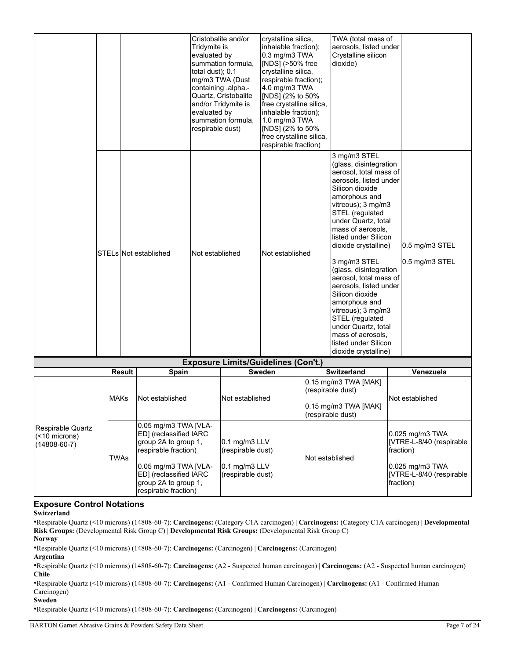|  |               |                       | Tridymite is<br>evaluated by<br>total dust); 0.1<br>evaluated by<br>respirable dust) | Cristobalite and/or<br>summation formula,<br>mg/m3 TWA (Dust<br>containing .alpha.-<br>Quartz, Cristobalite<br>and/or Tridymite is<br>summation formula, | crystalline silica,<br>inhalable fraction);<br>0.3 mg/m3 TWA<br>[NDS] (>50% free<br>crystalline silica,<br>respirable fraction);<br>4.0 mg/m3 TWA<br>[NDS] (2% to 50%<br>free crystalline silica,<br>inhalable fraction);<br>1.0 mg/m3 TWA<br>[NDS] (2% to 50%<br>free crystalline silica,<br>respirable fraction) | TWA (total mass of<br>aerosols, listed under<br>Crystalline silicon<br>dioxide)                                                                                                                                                                                                                                                                                                                                                                                                                                                            |                                  |
|--|---------------|-----------------------|--------------------------------------------------------------------------------------|----------------------------------------------------------------------------------------------------------------------------------------------------------|--------------------------------------------------------------------------------------------------------------------------------------------------------------------------------------------------------------------------------------------------------------------------------------------------------------------|--------------------------------------------------------------------------------------------------------------------------------------------------------------------------------------------------------------------------------------------------------------------------------------------------------------------------------------------------------------------------------------------------------------------------------------------------------------------------------------------------------------------------------------------|----------------------------------|
|  |               | STELs Not established | Not established                                                                      |                                                                                                                                                          | Not established                                                                                                                                                                                                                                                                                                    | 3 mg/m3 STEL<br>(glass, disintegration<br>aerosol, total mass of<br>aerosols. listed under<br>Silicon dioxide<br>amorphous and<br>vitreous); 3 mg/m3<br>STEL (regulated<br>under Quartz, total<br>mass of aerosols.<br>listed under Silicon<br>dioxide crystalline)<br>3 mg/m3 STEL<br>(glass, disintegration<br>aerosol, total mass of<br>aerosols, listed under<br>Silicon dioxide<br>amorphous and<br>vitreous); 3 mg/m3<br>STEL (regulated<br>under Quartz, total<br>mass of aerosols.<br>listed under Silicon<br>dioxide crystalline) | 0.5 mg/m3 STEL<br>0.5 mg/m3 STEL |
|  |               |                       |                                                                                      |                                                                                                                                                          | <b>Exposure Limits/Guidelines (Con't.)</b>                                                                                                                                                                                                                                                                         |                                                                                                                                                                                                                                                                                                                                                                                                                                                                                                                                            |                                  |
|  | <b>Result</b> | <b>Spain</b>          |                                                                                      |                                                                                                                                                          | <b>Sweden</b>                                                                                                                                                                                                                                                                                                      | <b>Switzerland</b>                                                                                                                                                                                                                                                                                                                                                                                                                                                                                                                         | Venezuela                        |
|  |               |                       |                                                                                      |                                                                                                                                                          |                                                                                                                                                                                                                                                                                                                    | 0.15 mg/m3 TWA [MAK]                                                                                                                                                                                                                                                                                                                                                                                                                                                                                                                       |                                  |

|                                                             | Result      | <b>Spain</b>                                                                                                                                                                                     | Sweden                                                                             | Switzerland                                                                                   | Venezuela                                                                                                                 |
|-------------------------------------------------------------|-------------|--------------------------------------------------------------------------------------------------------------------------------------------------------------------------------------------------|------------------------------------------------------------------------------------|-----------------------------------------------------------------------------------------------|---------------------------------------------------------------------------------------------------------------------------|
|                                                             | <b>MAKs</b> | Not established                                                                                                                                                                                  | Not established                                                                    | $0.15$ mg/m3 TWA [MAK]<br>(respirable dust)<br>$0.15$ mg/m $3$ TWA [MAK]<br>(respirable dust) | Not established                                                                                                           |
| Respirable Quartz<br>$(< 10$ microns)<br>$(14808 - 60 - 7)$ | TWAs        | 0.05 mg/m3 TWA [VLA-<br>ED] (reclassified IARC<br>group 2A to group 1,<br>respirable fraction)<br>0.05 mg/m3 TWA [VLA-<br>ED] (reclassified IARC<br>group 2A to group 1,<br>respirable fraction) | $0.1$ mg/m $3$ LLV<br>(respirable dust)<br>$0.1$ mg/m $3$ LLV<br>(respirable dust) | INot established                                                                              | 0.025 mg/m3 TWA<br>[VTRE-L-8/40 (respirable<br>fraction)<br>$0.025$ mg/m $3$ TWA<br>[VTRE-L-8/40 (respirable<br>fraction) |

#### **Exposure Control Notations**

#### **Switzerland**

•Respirable Quartz (<10 microns) (14808-60-7): **Carcinogens:** (Category C1A carcinogen) | **Carcinogens:** (Category C1A carcinogen) | **Developmental Risk Groups:** (Developmental Risk Group C) | **Developmental Risk Groups:** (Developmental Risk Group C) **Norway**

•Respirable Quartz (<10 microns) (14808-60-7): **Carcinogens:** (Carcinogen) | **Carcinogens:** (Carcinogen)

**Argentina**

•Respirable Quartz (<10 microns) (14808-60-7): **Carcinogens:** (A2 - Suspected human carcinogen) | **Carcinogens:** (A2 - Suspected human carcinogen) **Chile**

•Respirable Quartz (<10 microns) (14808-60-7): **Carcinogens:** (A1 - Confirmed Human Carcinogen) | **Carcinogens:** (A1 - Confirmed Human Carcinogen)

**Sweden**

•Respirable Quartz (<10 microns) (14808-60-7): **Carcinogens:** (Carcinogen) | **Carcinogens:** (Carcinogen)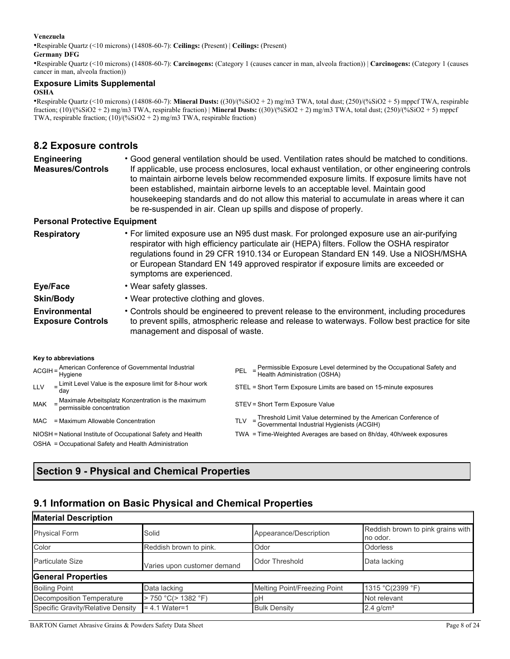#### **Venezuela**

•Respirable Quartz (<10 microns) (14808-60-7): **Ceilings:** (Present) | **Ceilings:** (Present)

#### **Germany DFG**

•Respirable Quartz (<10 microns) (14808-60-7): **Carcinogens:** (Category 1 (causes cancer in man, alveola fraction)) | **Carcinogens:** (Category 1 (causes cancer in man, alveola fraction))

# **Exposure Limits Supplemental**

#### **OSHA**

•Respirable Quartz (<10 microns) (14808-60-7): **Mineral Dusts:** ((30)/(%SiO2 + 2) mg/m3 TWA, total dust; (250)/(%SiO2 + 5) mppcf TWA, respirable fraction; (10)/(%SiO2 + 2) mg/m3 TWA, respirable fraction) | **Mineral Dusts:** ((30)/(%SiO2 + 2) mg/m3 TWA, total dust; (250)/(%SiO2 + 5) mppcf TWA, respirable fraction; (10)/(%SiO2 + 2) mg/m3 TWA, respirable fraction)

## **8.2 Exposure controls**

| Engineering              | • Good general ventilation should be used. Ventilation rates should be matched to conditions.   |
|--------------------------|-------------------------------------------------------------------------------------------------|
| <b>Measures/Controls</b> | If applicable, use process enclosures, local exhaust ventilation, or other engineering controls |
|                          | to maintain airborne levels below recommended exposure limits. If exposure limits have not      |
|                          | been established, maintain airborne levels to an acceptable level. Maintain good                |
|                          | housekeeping standards and do not allow this material to accumulate in areas where it can       |
|                          | be re-suspended in air. Clean up spills and dispose of properly.                                |

#### **Personal Protective Equipment**

| <b>Respiratory</b>                               | • For limited exposure use an N95 dust mask. For prolonged exposure use an air-purifying<br>respirator with high efficiency particulate air (HEPA) filters. Follow the OSHA respirator<br>regulations found in 29 CFR 1910.134 or European Standard EN 149. Use a NIOSH/MSHA<br>or European Standard EN 149 approved respirator if exposure limits are exceeded or<br>symptoms are experienced. |
|--------------------------------------------------|-------------------------------------------------------------------------------------------------------------------------------------------------------------------------------------------------------------------------------------------------------------------------------------------------------------------------------------------------------------------------------------------------|
| Eye/Face                                         | • Wear safety glasses.                                                                                                                                                                                                                                                                                                                                                                          |
| <b>Skin/Body</b>                                 | • Wear protective clothing and gloves.                                                                                                                                                                                                                                                                                                                                                          |
| <b>Environmental</b><br><b>Exposure Controls</b> | • Controls should be engineered to prevent release to the environment, including procedures<br>to prevent spills, atmospheric release and release to waterways. Follow best practice for site                                                                                                                                                                                                   |

**Key to abbreviations** 

|            | ACGIH = American Conference of Governmental Industrial<br>Hygiene                   |            | PEL = Permissible Exposure Level determined by the Occupational Safety and<br>Health Administration (OSHA)     |
|------------|-------------------------------------------------------------------------------------|------------|----------------------------------------------------------------------------------------------------------------|
| <b>LLV</b> | $E$ Limit Level Value is the exposure limit for 8-hour work<br>dav                  |            | STEL = Short Term Exposure Limits are based on 15-minute exposures                                             |
| <b>MAK</b> | $=$ Maximale Arbeitsplatz Konzentration is the maximum<br>permissible concentration |            | STEV = Short Term Exposure Value                                                                               |
| MAC        | = Maximum Allowable Concentration                                                   | <b>TLV</b> | = Threshold Limit Value determined by the American Conference of<br>Governmental Industrial Hygienists (ACGIH) |
|            | NIOSH = National Institute of Occupational Safety and Health                        |            | TWA = Time-Weighted Averages are based on 8h/day, 40h/week exposures                                           |
|            | OSHA = Occupational Safety and Health Administration                                |            |                                                                                                                |

# **Section 9 - Physical and Chemical Properties**

# **9.1 Information on Basic Physical and Chemical Properties**

management and disposal of waste.

| <b>Material Description</b>       |                             |                              |                                               |
|-----------------------------------|-----------------------------|------------------------------|-----------------------------------------------|
| <b>Physical Form</b>              | Solid                       | Appearance/Description       | Reddish brown to pink grains with<br>no odor. |
| Color                             | Reddish brown to pink.      | Odor                         | Odorless                                      |
| <b>Particulate Size</b>           | Varies upon customer demand | <b>Odor Threshold</b>        | Data lacking                                  |
| <b>General Properties</b>         |                             |                              |                                               |
| <b>Boiling Point</b>              | Data lacking                | Melting Point/Freezing Point | 1315 °C(2399 °F)                              |
| <b>Decomposition Temperature</b>  | > 750 °C(> 1382 °F)         | pH                           | Not relevant                                  |
| Specific Gravity/Relative Density | $= 4.1$ Water=1             | <b>Bulk Density</b>          | $2.4$ g/cm <sup>3</sup>                       |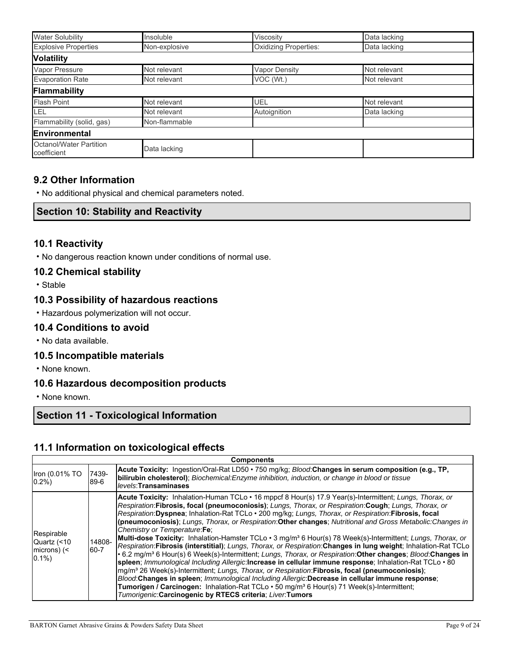| <b>Water Solubility</b>                       | Insoluble     | Viscosity             | Data lacking |
|-----------------------------------------------|---------------|-----------------------|--------------|
| <b>Explosive Properties</b>                   | Non-explosive | Oxidizing Properties: | Data lacking |
| <b>Volatility</b>                             |               |                       |              |
| Vapor Pressure                                | Not relevant  | <b>Vapor Density</b>  | Not relevant |
| <b>Evaporation Rate</b>                       | Not relevant  | VOC (Wt.)             | Not relevant |
| Flammability                                  |               |                       |              |
| <b>Flash Point</b>                            | Not relevant  | UEL                   | Not relevant |
| <b>LEL</b>                                    | Not relevant  | Autoignition          | Data lacking |
| Flammability (solid, gas)                     | Non-flammable |                       |              |
| Environmental                                 |               |                       |              |
| <b>Octanol/Water Partition</b><br>coefficient | Data lacking  |                       |              |

## **9.2 Other Information**

• No additional physical and chemical parameters noted.

### **Section 10: Stability and Reactivity**

## **10.1 Reactivity**

• No dangerous reaction known under conditions of normal use.

### **10.2 Chemical stability**

• Stable

## **10.3 Possibility of hazardous reactions**

• Hazardous polymerization will not occur.

#### **10.4 Conditions to avoid**

• No data available.

## **10.5 Incompatible materials**

• None known.

## **10.6 Hazardous decomposition products**

• None known.

# **Section 11 - Toxicological Information**

### **11.1 Information on toxicological effects**

| <b>Components</b>                                            |                |                                                                                                                                                                                                                                                                                                                                                                                                                                                                                                                                                                                                                                                                                                                                                                                                                                                                                                                                                                                                                                                                                                                                                                                                                                                                                                                                                                |  |  |
|--------------------------------------------------------------|----------------|----------------------------------------------------------------------------------------------------------------------------------------------------------------------------------------------------------------------------------------------------------------------------------------------------------------------------------------------------------------------------------------------------------------------------------------------------------------------------------------------------------------------------------------------------------------------------------------------------------------------------------------------------------------------------------------------------------------------------------------------------------------------------------------------------------------------------------------------------------------------------------------------------------------------------------------------------------------------------------------------------------------------------------------------------------------------------------------------------------------------------------------------------------------------------------------------------------------------------------------------------------------------------------------------------------------------------------------------------------------|--|--|
| Iron (0.01% TO<br>$0.2\%$                                    | 7439-<br>89-6  | Acute Toxicity: Ingestion/Oral-Rat LD50 • 750 mg/kg; Blood:Changes in serum composition (e.g., TP,<br>bilirubin cholesterol); Biochemical: Enzyme inhibition, induction, or change in blood or tissue<br>levels: Transaminases                                                                                                                                                                                                                                                                                                                                                                                                                                                                                                                                                                                                                                                                                                                                                                                                                                                                                                                                                                                                                                                                                                                                 |  |  |
| Respirable<br>Quartz (<10<br>$ microns\rangle$ (<<br>$0.1\%$ | 14808-<br>60-7 | <b>Acute Toxicity:</b> Inhalation-Human TCLo • 16 mppcf 8 Hour(s) 17.9 Year(s)-Intermittent; Lungs, Thorax, or<br>Respiration:Fibrosis, focal (pneumoconiosis); Lungs, Thorax, or Respiration:Cough; Lungs, Thorax, or<br>Respiration:Dyspnea; Inhalation-Rat TCLo · 200 mg/kg; Lungs, Thorax, or Respiration:Fibrosis, focal<br>(pneumoconiosis); Lungs, Thorax, or Respiration: Other changes; Nutritional and Gross Metabolic: Changes in<br>Chemistry or Temperature: Fe;<br>Multi-dose Toxicity: Inhalation-Hamster TCLo · 3 mg/m <sup>3</sup> 6 Hour(s) 78 Week(s)-Intermittent; Lungs, Thorax, or<br>Respiration: Fibrosis (interstitial); Lungs, Thorax, or Respiration: Changes in lung weight; Inhalation-Rat TCLo<br>. 6.2 mg/m <sup>3</sup> 6 Hour(s) 6 Week(s)-Intermittent; Lungs, Thorax, or Respiration: Other changes; Blood: Changes in<br>spleen; Immunological Including Allergic: Increase in cellular immune response; Inhalation-Rat TCLo · 80<br>mg/m <sup>3</sup> 26 Week(s)-Intermittent; Lungs, Thorax, or Respiration: Fibrosis, focal (pneumoconiosis);<br>Blood: Changes in spleen: Immunological Including Allergic: Decrease in cellular immune response:<br>Tumorigen / Carcinogen: Inhalation-Rat TCLo . 50 mg/m <sup>3</sup> 6 Hour(s) 71 Week(s)-Intermittent;<br>Tumorigenic:Carcinogenic by RTECS criteria; Liver:Tumors |  |  |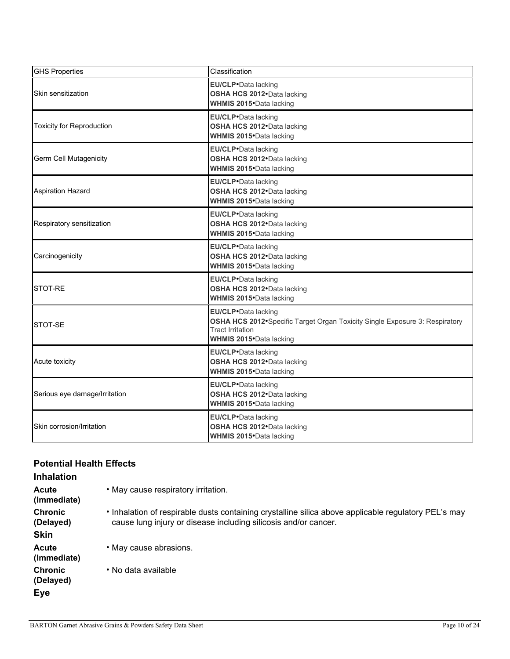| <b>GHS Properties</b>            | Classification                                                                                                                                                   |
|----------------------------------|------------------------------------------------------------------------------------------------------------------------------------------------------------------|
| Skin sensitization               | <b>EU/CLP</b> ·Data lacking<br>OSHA HCS 2012. Data lacking<br><b>WHMIS 2015</b> Data lacking                                                                     |
| <b>Toxicity for Reproduction</b> | EU/CLP.Data lacking<br>OSHA HCS 2012. Data lacking<br>WHMIS 2015. Data lacking                                                                                   |
| <b>Germ Cell Mutagenicity</b>    | EU/CLP.Data lacking<br>OSHA HCS 2012. Data lacking<br><b>WHMIS 2015</b> Data lacking                                                                             |
| <b>Aspiration Hazard</b>         | <b>EU/CLP</b> ·Data lacking<br>OSHA HCS 2012. Data lacking<br>WHMIS 2015. Data lacking                                                                           |
| Respiratory sensitization        | EU/CLP.Data lacking<br>OSHA HCS 2012. Data lacking<br><b>WHMIS 2015</b> Data lacking                                                                             |
| Carcinogenicity                  | EU/CLP.Data lacking<br>OSHA HCS 2012. Data lacking<br>WHMIS 2015. Data lacking                                                                                   |
| STOT-RE                          | EU/CLP.Data lacking<br>OSHA HCS 2012. Data lacking<br><b>WHMIS 2015</b> Data lacking                                                                             |
| STOT-SE                          | EU/CLP.Data lacking<br>OSHA HCS 2012• Specific Target Organ Toxicity Single Exposure 3: Respiratory<br><b>Tract Irritation</b><br><b>WHMIS 2015</b> Data lacking |
| Acute toxicity                   | <b>EU/CLP</b> ·Data lacking<br>OSHA HCS 2012. Data lacking<br>WHMIS 2015•Data lacking                                                                            |
| Serious eye damage/Irritation    | <b>EU/CLP</b> ·Data lacking<br>OSHA HCS 2012. Data lacking<br><b>WHMIS 2015</b> Data lacking                                                                     |
| Skin corrosion/Irritation        | EU/CLP.Data lacking<br>OSHA HCS 2012. Data lacking<br><b>WHMIS 2015</b> Data lacking                                                                             |

## **Potential Health Effects**

| <b>Inhalation</b>                          |                                                                                                                                                                         |
|--------------------------------------------|-------------------------------------------------------------------------------------------------------------------------------------------------------------------------|
| Acute<br>(Immediate)                       | • May cause respiratory irritation.                                                                                                                                     |
| <b>Chronic</b><br>(Delayed)<br><b>Skin</b> | • Inhalation of respirable dusts containing crystalline silica above applicable regulatory PEL's may<br>cause lung injury or disease including silicosis and/or cancer. |
| <b>Acute</b><br>(Immediate)                | • May cause abrasions.                                                                                                                                                  |
| <b>Chronic</b><br>(Delayed)                | • No data available                                                                                                                                                     |
| Eye                                        |                                                                                                                                                                         |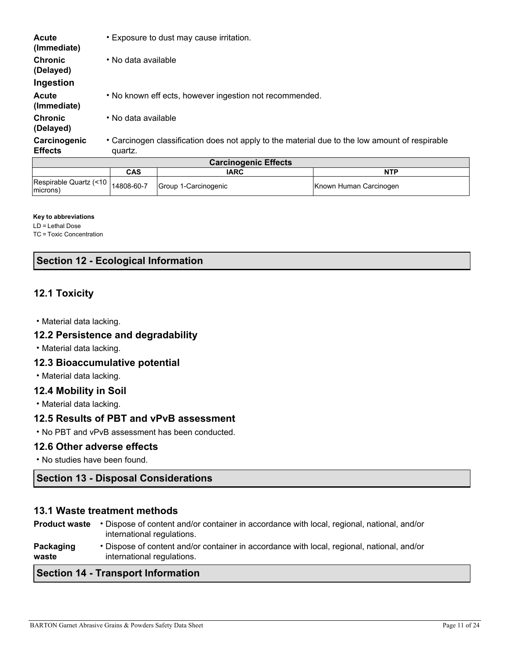| <b>Acute</b><br>(Immediate)    | • Exposure to dust may cause irritation.                                                                  |  |  |  |
|--------------------------------|-----------------------------------------------------------------------------------------------------------|--|--|--|
| <b>Chronic</b><br>(Delayed)    | • No data available                                                                                       |  |  |  |
| Ingestion                      |                                                                                                           |  |  |  |
| <b>Acute</b><br>(Immediate)    | • No known eff ects, however ingestion not recommended.                                                   |  |  |  |
| <b>Chronic</b><br>(Delayed)    | • No data available                                                                                       |  |  |  |
| Carcinogenic<br><b>Effects</b> | • Carcinogen classification does not apply to the material due to the low amount of respirable<br>quartz. |  |  |  |
| <b>Carcinogenic Effects</b>    |                                                                                                           |  |  |  |

| <b>VAIVIIIVUUIIIU LIIUUS</b>        |            |                      |                        |  |  |  |
|-------------------------------------|------------|----------------------|------------------------|--|--|--|
|                                     | CAS        | <b>IARC</b>          | <b>NTP</b>             |  |  |  |
| Respirable Quartz (<10)<br>(microns | 14808-60-7 | Group 1-Carcinogenic | Known Human Carcinogen |  |  |  |

#### **Key to abbreviations**

LD = Lethal Dose

TC = Toxic Concentration

## **Section 12 - Ecological Information**

## **12.1 Toxicity**

• Material data lacking.

### **12.2 Persistence and degradability**

• Material data lacking.

#### **12.3 Bioaccumulative potential**

• Material data lacking.

### **12.4 Mobility in Soil**

• Material data lacking.

### **12.5 Results of PBT and vPvB assessment**

• No PBT and vPvB assessment has been conducted.

#### **12.6 Other adverse effects**

• No studies have been found.

## **Section 13 - Disposal Considerations**

#### **13.1 Waste treatment methods**

|                      | $C$ eatian dd Tuananaut Information                                                                                      |
|----------------------|--------------------------------------------------------------------------------------------------------------------------|
| Packaging<br>waste   | • Dispose of content and/or container in accordance with local, regional, national, and/or<br>international regulations. |
| <b>Product waste</b> | • Dispose of content and/or container in accordance with local, regional, national, and/or<br>international regulations. |

#### **Section 14 - Transport Information**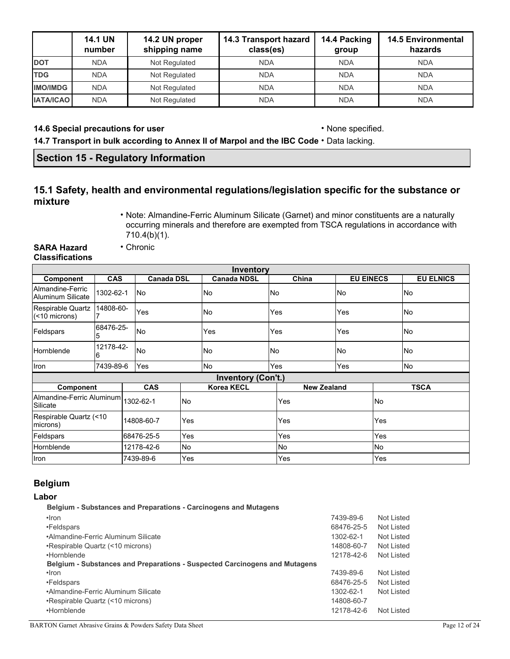|                  | <b>14.1 UN</b><br>number | 14.2 UN proper<br>shipping name | 14.3 Transport hazard<br>class(es) | 14.4 Packing<br>group | <b>14.5 Environmental</b><br>hazards |
|------------------|--------------------------|---------------------------------|------------------------------------|-----------------------|--------------------------------------|
| <b>DOT</b>       | <b>NDA</b>               | Not Regulated                   | <b>NDA</b>                         | <b>NDA</b>            | <b>NDA</b>                           |
| <b>TDG</b>       | <b>NDA</b>               | Not Regulated                   | <b>NDA</b>                         | <b>NDA</b>            | <b>NDA</b>                           |
| <b>IMO/IMDG</b>  | <b>NDA</b>               | Not Regulated                   | <b>NDA</b>                         | <b>NDA</b>            | <b>NDA</b>                           |
| <b>IATA/ICAO</b> | <b>NDA</b>               | Not Regulated                   | <b>NDA</b>                         | <b>NDA</b>            | <b>NDA</b>                           |

#### **14.6 Special precautions for user** • None specified.

**14.7 Transport in bulk according to Annex II of Marpol and the IBC Code** • Data lacking.

## **Section 15 - Regulatory Information**

• Chronic

## **15.1 Safety, health and environmental regulations/legislation specific for the substance or mixture**

• Note: Almandine-Ferric Aluminum Silicate (Garnet) and minor constituents are a naturally occurring minerals and therefore are exempted from TSCA regulations in accordance with 710.4(b)(1).

**SARA Hazard** 

# **Classifications**

|                                       |                          |                                 |            |           | <b>Inventory</b>          |     |                    |                  |           |                  |
|---------------------------------------|--------------------------|---------------------------------|------------|-----------|---------------------------|-----|--------------------|------------------|-----------|------------------|
| Component                             |                          | <b>CAS</b><br><b>Canada DSL</b> |            |           | <b>Canada NDSL</b>        |     | China              | <b>EU EINECS</b> |           | <b>EU ELNICS</b> |
| Almandine-Ferric<br>Aluminum Silicate | 1302-62-1                |                                 | No         |           | No                        | No  |                    | No               |           | No               |
| Respirable Quartz<br>(                | 14808-60-                |                                 | Yes        |           | No                        |     | Yes<br>Yes         |                  |           | No               |
| Feldspars                             | 68476-25-<br>5           |                                 | <b>No</b>  |           | Yes                       | Yes |                    | Yes              |           | No               |
| Hornblende                            | 12178-42-<br>6           |                                 | No         |           | No                        | No  |                    | No               |           | No               |
| Iron                                  | 7439-89-6                |                                 | Yes        |           | No                        | Yes |                    | Yes              |           | No               |
|                                       |                          |                                 |            |           | <b>Inventory (Con't.)</b> |     |                    |                  |           |                  |
| Component                             |                          |                                 | <b>CAS</b> |           | <b>Korea KECL</b>         |     | <b>New Zealand</b> |                  |           | <b>TSCA</b>      |
| Almandine-Ferric Aluminum<br>Silicate |                          |                                 | 1302-62-1  | <b>No</b> |                           |     | Yes                |                  | <b>No</b> |                  |
| Respirable Quartz (<10<br>microns)    | Yes<br>14808-60-7<br>Yes |                                 | Yes        |           |                           |     |                    |                  |           |                  |
| Feldspars                             | 68476-25-5<br>Yes        |                                 |            | Yes       |                           | Yes |                    |                  |           |                  |
| Hornblende                            |                          |                                 | 12178-42-6 | No        |                           | No  |                    | No               |           |                  |
| Iron                                  |                          |                                 | 7439-89-6  | Yes       |                           |     | Yes                |                  | Yes       |                  |

## **Belgium**

### **Labor**

| <b>Belgium - Substances and Preparations - Carcinogens and Mutagens</b>    |            |            |
|----------------------------------------------------------------------------|------------|------------|
| $\cdot$ Iron                                                               | 7439-89-6  | Not Listed |
| •Feldspars                                                                 | 68476-25-5 | Not Listed |
| •Almandine-Ferric Aluminum Silicate                                        | 1302-62-1  | Not Listed |
| •Respirable Quartz (<10 microns)                                           | 14808-60-7 | Not Listed |
| •Hornblende                                                                | 12178-42-6 | Not Listed |
| Belgium - Substances and Preparations - Suspected Carcinogens and Mutagens |            |            |
| $\cdot$ Iron                                                               | 7439-89-6  | Not Listed |
| •Feldspars                                                                 | 68476-25-5 | Not Listed |
| •Almandine-Ferric Aluminum Silicate                                        | 1302-62-1  | Not Listed |
| •Respirable Quartz (<10 microns)                                           | 14808-60-7 |            |
| •Hornblende                                                                | 12178-42-6 | Not Listed |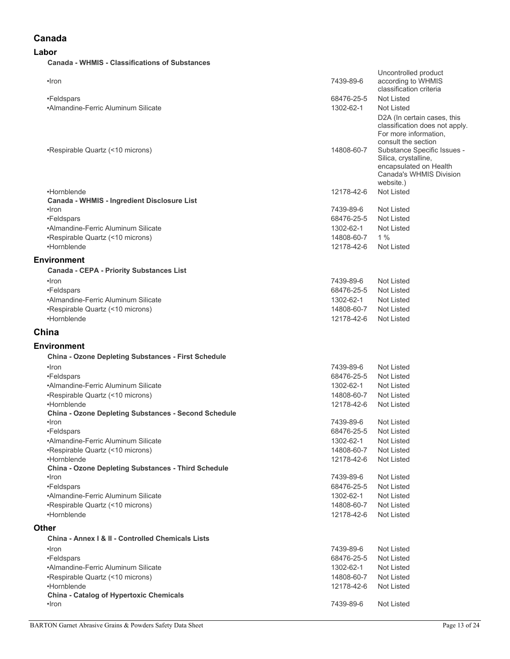## **Canada**

#### **Labor**

#### **Canada - WHMIS - Classifications of Substances**

| •Iron                                                             | 7439-89-6  | Uncontrolled product<br>according to WHMIS<br>classification criteria                                                                                                                                                            |
|-------------------------------------------------------------------|------------|----------------------------------------------------------------------------------------------------------------------------------------------------------------------------------------------------------------------------------|
| •Feldspars                                                        | 68476-25-5 | Not Listed                                                                                                                                                                                                                       |
| •Almandine-Ferric Aluminum Silicate                               | 1302-62-1  | Not Listed                                                                                                                                                                                                                       |
| •Respirable Quartz (<10 microns)                                  | 14808-60-7 | D2A (In certain cases, this<br>classification does not apply.<br>For more information,<br>consult the section<br>Substance Specific Issues -<br>Silica, crystalline,<br>encapsulated on Health<br><b>Canada's WHMIS Division</b> |
|                                                                   |            | website.)                                                                                                                                                                                                                        |
| •Hornblende<br><b>Canada - WHMIS - Ingredient Disclosure List</b> | 12178-42-6 | Not Listed                                                                                                                                                                                                                       |
| $\cdot$ Iron                                                      | 7439-89-6  | Not Listed                                                                                                                                                                                                                       |
| •Feldspars                                                        | 68476-25-5 | Not Listed                                                                                                                                                                                                                       |
| •Almandine-Ferric Aluminum Silicate                               | 1302-62-1  | Not Listed                                                                                                                                                                                                                       |
| •Respirable Quartz (<10 microns)                                  | 14808-60-7 | 1%                                                                                                                                                                                                                               |
| •Hornblende                                                       | 12178-42-6 | Not Listed                                                                                                                                                                                                                       |
|                                                                   |            |                                                                                                                                                                                                                                  |
| Environment                                                       |            |                                                                                                                                                                                                                                  |
| <b>Canada - CEPA - Priority Substances List</b>                   |            |                                                                                                                                                                                                                                  |
| $\cdot$ Iron                                                      | 7439-89-6  | Not Listed                                                                                                                                                                                                                       |
| •Feldspars                                                        | 68476-25-5 | Not Listed                                                                                                                                                                                                                       |
| •Almandine-Ferric Aluminum Silicate                               | 1302-62-1  | Not Listed                                                                                                                                                                                                                       |
| •Respirable Quartz (<10 microns)                                  | 14808-60-7 | Not Listed                                                                                                                                                                                                                       |
| •Hornblende                                                       | 12178-42-6 | Not Listed                                                                                                                                                                                                                       |
| China                                                             |            |                                                                                                                                                                                                                                  |
| Environment                                                       |            |                                                                                                                                                                                                                                  |
| <b>China - Ozone Depleting Substances - First Schedule</b>        |            |                                                                                                                                                                                                                                  |
| $\cdot$ Iron                                                      | 7439-89-6  | Not Listed                                                                                                                                                                                                                       |
| •Feldspars                                                        | 68476-25-5 | Not Listed                                                                                                                                                                                                                       |
| •Almandine-Ferric Aluminum Silicate                               | 1302-62-1  | Not Listed                                                                                                                                                                                                                       |
| •Respirable Quartz (<10 microns)                                  | 14808-60-7 | Not Listed                                                                                                                                                                                                                       |
| •Hornblende                                                       | 12178-42-6 | Not Listed                                                                                                                                                                                                                       |
| <b>China - Ozone Depleting Substances - Second Schedule</b>       |            |                                                                                                                                                                                                                                  |
| •Iron                                                             | 7439-89-6  | Not Listed                                                                                                                                                                                                                       |
| •Feldspars                                                        | 68476-25-5 | Not Listed                                                                                                                                                                                                                       |
| •Almandine-Ferric Aluminum Silicate                               | 1302-62-1  | Not Listed                                                                                                                                                                                                                       |
| •Respirable Quartz (<10 microns)                                  | 14808-60-7 | Not Listed                                                                                                                                                                                                                       |
| •Hornblende                                                       | 12178-42-6 | Not Listed                                                                                                                                                                                                                       |
| China - Ozone Depleting Substances - Third Schedule               |            |                                                                                                                                                                                                                                  |
| $\cdot$ Iron                                                      | 7439-89-6  | Not Listed                                                                                                                                                                                                                       |
| •Feldspars                                                        | 68476-25-5 | Not Listed                                                                                                                                                                                                                       |
| •Almandine-Ferric Aluminum Silicate                               | 1302-62-1  | Not Listed                                                                                                                                                                                                                       |
| •Respirable Quartz (<10 microns)                                  | 14808-60-7 | Not Listed                                                                                                                                                                                                                       |
| •Hornblende                                                       | 12178-42-6 | Not Listed                                                                                                                                                                                                                       |
| Other                                                             |            |                                                                                                                                                                                                                                  |
| China - Annex   &    - Controlled Chemicals Lists                 |            |                                                                                                                                                                                                                                  |
| $\cdot$ Iron                                                      | 7439-89-6  | Not Listed                                                                                                                                                                                                                       |
| •Feldspars                                                        | 68476-25-5 | Not Listed                                                                                                                                                                                                                       |
| •Almandine-Ferric Aluminum Silicate                               | 1302-62-1  | Not Listed                                                                                                                                                                                                                       |
| •Respirable Quartz (<10 microns)                                  | 14808-60-7 | Not Listed                                                                                                                                                                                                                       |
| •Hornblende                                                       | 12178-42-6 | Not Listed                                                                                                                                                                                                                       |
|                                                                   |            |                                                                                                                                                                                                                                  |
| <b>China - Catalog of Hypertoxic Chemicals</b>                    |            |                                                                                                                                                                                                                                  |
| •Iron                                                             | 7439-89-6  | Not Listed                                                                                                                                                                                                                       |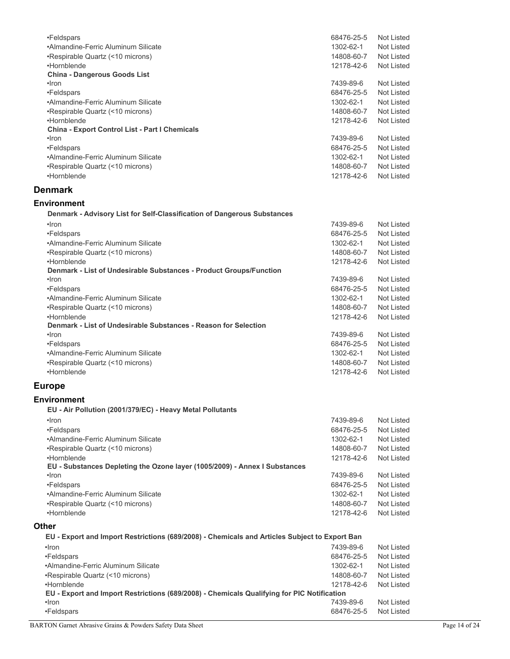| •Feldspars                                                                                    | 68476-25-5 | Not Listed        |
|-----------------------------------------------------------------------------------------------|------------|-------------------|
| •Almandine-Ferric Aluminum Silicate                                                           | 1302-62-1  | Not Listed        |
| •Respirable Quartz (<10 microns)                                                              | 14808-60-7 | Not Listed        |
| •Hornblende                                                                                   | 12178-42-6 | Not Listed        |
|                                                                                               |            |                   |
| <b>China - Dangerous Goods List</b>                                                           |            |                   |
| •Iron                                                                                         | 7439-89-6  | Not Listed        |
| •Feldspars                                                                                    | 68476-25-5 | Not Listed        |
| •Almandine-Ferric Aluminum Silicate                                                           | 1302-62-1  | Not Listed        |
| •Respirable Quartz (<10 microns)                                                              | 14808-60-7 | Not Listed        |
| •Hornblende                                                                                   | 12178-42-6 | Not Listed        |
| China - Export Control List - Part I Chemicals                                                |            |                   |
| ·Iron                                                                                         | 7439-89-6  | <b>Not Listed</b> |
| •Feldspars                                                                                    | 68476-25-5 | Not Listed        |
| •Almandine-Ferric Aluminum Silicate                                                           | 1302-62-1  | <b>Not Listed</b> |
| •Respirable Quartz (<10 microns)                                                              | 14808-60-7 | Not Listed        |
| •Hornblende                                                                                   | 12178-42-6 | Not Listed        |
|                                                                                               |            |                   |
| <b>Denmark</b>                                                                                |            |                   |
|                                                                                               |            |                   |
| <b>Environment</b>                                                                            |            |                   |
| Denmark - Advisory List for Self-Classification of Dangerous Substances                       |            |                   |
| ·Iron                                                                                         | 7439-89-6  | <b>Not Listed</b> |
| •Feldspars                                                                                    | 68476-25-5 | Not Listed        |
| •Almandine-Ferric Aluminum Silicate                                                           | 1302-62-1  | Not Listed        |
| •Respirable Quartz (<10 microns)                                                              | 14808-60-7 | Not Listed        |
| •Hornblende                                                                                   |            |                   |
|                                                                                               | 12178-42-6 | <b>Not Listed</b> |
| Denmark - List of Undesirable Substances - Product Groups/Function                            |            |                   |
| $\cdot$ Iron                                                                                  | 7439-89-6  | <b>Not Listed</b> |
| •Feldspars                                                                                    | 68476-25-5 | Not Listed        |
| •Almandine-Ferric Aluminum Silicate                                                           | 1302-62-1  | Not Listed        |
| •Respirable Quartz (<10 microns)                                                              | 14808-60-7 | Not Listed        |
| •Hornblende                                                                                   | 12178-42-6 | <b>Not Listed</b> |
| Denmark - List of Undesirable Substances - Reason for Selection                               |            |                   |
| $\cdot$ Iron                                                                                  | 7439-89-6  | Not Listed        |
| •Feldspars                                                                                    | 68476-25-5 | Not Listed        |
| •Almandine-Ferric Aluminum Silicate                                                           | 1302-62-1  | Not Listed        |
| •Respirable Quartz (<10 microns)                                                              | 14808-60-7 | Not Listed        |
| •Hornblende                                                                                   | 12178-42-6 | <b>Not Listed</b> |
|                                                                                               |            |                   |
| <b>Europe</b>                                                                                 |            |                   |
| <b>Environment</b>                                                                            |            |                   |
|                                                                                               |            |                   |
| EU - Air Pollution (2001/379/EC) - Heavy Metal Pollutants                                     |            |                   |
| $\cdot$ Iron                                                                                  | 7439-89-6  | Not Listed        |
| •Feldspars                                                                                    | 68476-25-5 | Not Listed        |
| •Almandine-Ferric Aluminum Silicate                                                           | 1302-62-1  | Not Listed        |
| •Respirable Quartz (<10 microns)                                                              | 14808-60-7 | Not Listed        |
| •Hornblende                                                                                   | 12178-42-6 | Not Listed        |
| EU - Substances Depleting the Ozone layer (1005/2009) - Annex I Substances                    |            |                   |
| •Iron                                                                                         | 7439-89-6  | Not Listed        |
| •Feldspars                                                                                    | 68476-25-5 | Not Listed        |
| •Almandine-Ferric Aluminum Silicate                                                           | 1302-62-1  | Not Listed        |
| •Respirable Quartz (<10 microns)                                                              |            |                   |
|                                                                                               | 14808-60-7 | Not Listed        |
| •Hornblende                                                                                   | 12178-42-6 | Not Listed        |
| <b>Other</b>                                                                                  |            |                   |
| EU - Export and Import Restrictions (689/2008) - Chemicals and Articles Subject to Export Ban |            |                   |
|                                                                                               |            |                   |
| $\cdot$ Iron                                                                                  | 7439-89-6  | <b>Not Listed</b> |
| •Feldspars                                                                                    | 68476-25-5 | Not Listed        |
| •Almandine-Ferric Aluminum Silicate                                                           | 1302-62-1  | Not Listed        |
| •Respirable Quartz (<10 microns)                                                              | 14808-60-7 | Not Listed        |
| •Hornblende                                                                                   | 12178-42-6 | Not Listed        |
| EU - Export and Import Restrictions (689/2008) - Chemicals Qualifying for PIC Notification    |            |                   |
| ·Iron                                                                                         | 7439-89-6  | <b>Not Listed</b> |
| •Feldspars                                                                                    | 68476-25-5 | <b>Not Listed</b> |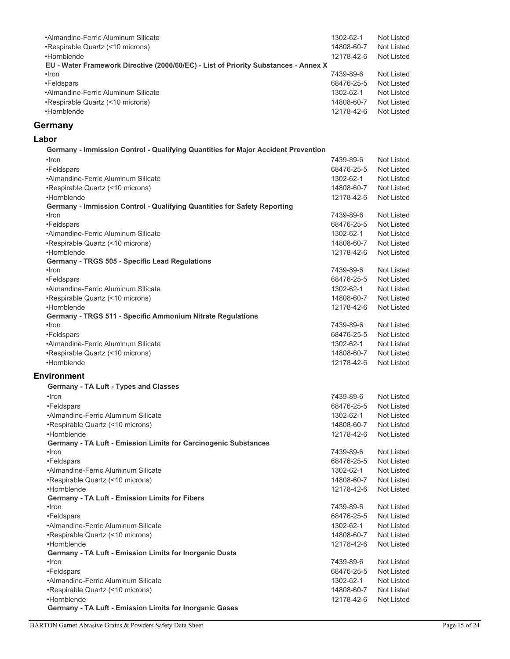| •Almandine-Ferric Aluminum Silicate                                                 | 1302-62-1                | Not Listed                      |
|-------------------------------------------------------------------------------------|--------------------------|---------------------------------|
| •Respirable Quartz (<10 microns)                                                    | 14808-60-7               | Not Listed                      |
| •Hornblende                                                                         | 12178-42-6               | Not Listed                      |
| EU - Water Framework Directive (2000/60/EC) - List of Priority Substances - Annex X |                          |                                 |
| •Iron                                                                               | 7439-89-6                | Not Listed                      |
| •Feldspars                                                                          | 68476-25-5               | Not Listed                      |
| •Almandine-Ferric Aluminum Silicate                                                 | 1302-62-1                | <b>Not Listed</b>               |
| •Respirable Quartz (<10 microns)                                                    | 14808-60-7               | Not Listed                      |
| •Hornblende                                                                         | 12178-42-6               | <b>Not Listed</b>               |
| Germany                                                                             |                          |                                 |
|                                                                                     |                          |                                 |
| Labor                                                                               |                          |                                 |
| Germany - Immission Control - Qualifying Quantities for Major Accident Prevention   |                          |                                 |
| $\cdot$ Iron                                                                        | 7439-89-6                | Not Listed                      |
| •Feldspars                                                                          | 68476-25-5               | Not Listed                      |
| •Almandine-Ferric Aluminum Silicate                                                 | 1302-62-1                | Not Listed                      |
| •Respirable Quartz (<10 microns)                                                    | 14808-60-7               | Not Listed                      |
| •Hornblende                                                                         | 12178-42-6               | <b>Not Listed</b>               |
| Germany - Immission Control - Qualifying Quantities for Safety Reporting            |                          |                                 |
| •Iron                                                                               | 7439-89-6                | Not Listed                      |
| •Feldspars                                                                          | 68476-25-5               | Not Listed                      |
| •Almandine-Ferric Aluminum Silicate                                                 | 1302-62-1                | Not Listed                      |
| •Respirable Quartz (<10 microns)                                                    | 14808-60-7               | Not Listed                      |
| •Hornblende                                                                         | 12178-42-6               | <b>Not Listed</b>               |
| Germany - TRGS 505 - Specific Lead Regulations                                      |                          |                                 |
| •Iron                                                                               | 7439-89-6                | Not Listed                      |
| •Feldspars                                                                          | 68476-25-5               | Not Listed                      |
| •Almandine-Ferric Aluminum Silicate                                                 | 1302-62-1                | Not Listed                      |
| •Respirable Quartz (<10 microns)<br>•Hornblende                                     | 14808-60-7<br>12178-42-6 | Not Listed<br><b>Not Listed</b> |
| Germany - TRGS 511 - Specific Ammonium Nitrate Regulations                          |                          |                                 |
| $\cdot$ Iron                                                                        | 7439-89-6                | Not Listed                      |
| •Feldspars                                                                          | 68476-25-5               | Not Listed                      |
| •Almandine-Ferric Aluminum Silicate                                                 | 1302-62-1                | Not Listed                      |
| •Respirable Quartz (<10 microns)                                                    | 14808-60-7               | Not Listed                      |
| •Hornblende                                                                         | 12178-42-6               | Not Listed                      |
|                                                                                     |                          |                                 |
| <b>Environment</b>                                                                  |                          |                                 |
| Germany - TA Luft - Types and Classes                                               |                          |                                 |
| $\cdot$ Iron                                                                        | 7439-89-6                | Not Listed                      |
| •Feldspars                                                                          | 68476-25-5               | Not Listed                      |
| •Almandine-Ferric Aluminum Silicate                                                 | 1302-62-1                | Not Listed                      |
| •Respirable Quartz (<10 microns)                                                    | 14808-60-7               | Not Listed                      |
| •Hornblende                                                                         | 12178-42-6               | Not Listed                      |
| Germany - TA Luft - Emission Limits for Carcinogenic Substances                     |                          |                                 |
| •Iron                                                                               | 7439-89-6                | Not Listed                      |
| •Feldspars                                                                          | 68476-25-5               | Not Listed                      |
| •Almandine-Ferric Aluminum Silicate                                                 | 1302-62-1                | Not Listed                      |
| •Respirable Quartz (<10 microns)                                                    | 14808-60-7               | Not Listed                      |
| •Hornblende                                                                         | 12178-42-6               | Not Listed                      |
| Germany - TA Luft - Emission Limits for Fibers<br>•Iron                             | 7439-89-6                | <b>Not Listed</b>               |
| •Feldspars                                                                          | 68476-25-5               | Not Listed                      |
| •Almandine-Ferric Aluminum Silicate                                                 | 1302-62-1                | Not Listed                      |
| •Respirable Quartz (<10 microns)                                                    | 14808-60-7               | Not Listed                      |
| •Hornblende                                                                         | 12178-42-6               | Not Listed                      |
| Germany - TA Luft - Emission Limits for Inorganic Dusts                             |                          |                                 |
| •Iron                                                                               | 7439-89-6                | Not Listed                      |
| •Feldspars                                                                          | 68476-25-5               | Not Listed                      |
| •Almandine-Ferric Aluminum Silicate                                                 | 1302-62-1                | Not Listed                      |
| •Respirable Quartz (<10 microns)                                                    | 14808-60-7               | Not Listed                      |
| •Hornblende                                                                         | 12178-42-6               | Not Listed                      |
| Germany - TA Luft - Emission Limits for Inorganic Gases                             |                          |                                 |
|                                                                                     |                          |                                 |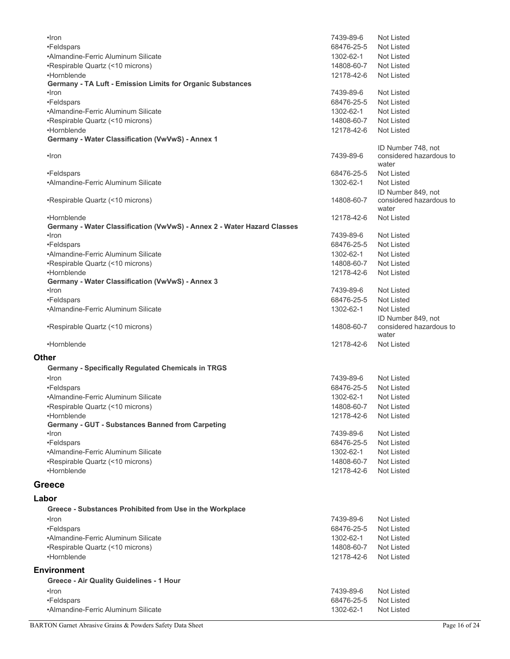| •Iron                                                                   | 7439-89-6  | <b>Not Listed</b>                |
|-------------------------------------------------------------------------|------------|----------------------------------|
| •Feldspars                                                              | 68476-25-5 | Not Listed                       |
| •Almandine-Ferric Aluminum Silicate                                     | 1302-62-1  | Not Listed                       |
| •Respirable Quartz (<10 microns)                                        | 14808-60-7 | Not Listed                       |
| •Hornblende                                                             | 12178-42-6 | Not Listed                       |
| Germany - TA Luft - Emission Limits for Organic Substances              |            |                                  |
| •Iron                                                                   | 7439-89-6  | Not Listed                       |
| •Feldspars                                                              | 68476-25-5 | Not Listed                       |
| •Almandine-Ferric Aluminum Silicate                                     | 1302-62-1  | <b>Not Listed</b>                |
| •Respirable Quartz (<10 microns)                                        | 14808-60-7 | Not Listed                       |
| •Hornblende                                                             | 12178-42-6 | <b>Not Listed</b>                |
| Germany - Water Classification (VwVwS) - Annex 1                        |            |                                  |
|                                                                         |            | ID Number 748, not               |
| •Iron                                                                   | 7439-89-6  | considered hazardous to<br>water |
| •Feldspars                                                              | 68476-25-5 | Not Listed                       |
| •Almandine-Ferric Aluminum Silicate                                     | 1302-62-1  | <b>Not Listed</b>                |
|                                                                         |            | ID Number 849, not               |
| •Respirable Quartz (<10 microns)                                        | 14808-60-7 | considered hazardous to<br>water |
| •Hornblende                                                             | 12178-42-6 | Not Listed                       |
| Germany - Water Classification (VwVwS) - Annex 2 - Water Hazard Classes |            |                                  |
| $\cdot$ Iron                                                            | 7439-89-6  | Not Listed                       |
| •Feldspars                                                              | 68476-25-5 | Not Listed                       |
| •Almandine-Ferric Aluminum Silicate                                     | 1302-62-1  | Not Listed                       |
| •Respirable Quartz (<10 microns)                                        | 14808-60-7 | Not Listed                       |
| •Hornblende                                                             | 12178-42-6 | Not Listed                       |
| Germany - Water Classification (VwVwS) - Annex 3                        |            |                                  |
| •Iron                                                                   | 7439-89-6  | Not Listed                       |
| •Feldspars                                                              | 68476-25-5 | <b>Not Listed</b>                |
| •Almandine-Ferric Aluminum Silicate                                     | 1302-62-1  | Not Listed                       |
|                                                                         |            | ID Number 849, not               |
| •Respirable Quartz (<10 microns)                                        | 14808-60-7 | considered hazardous to          |
|                                                                         |            | water                            |
| •Hornblende                                                             | 12178-42-6 | <b>Not Listed</b>                |
| <b>Other</b>                                                            |            |                                  |
| <b>Germany - Specifically Regulated Chemicals in TRGS</b>               |            |                                  |
| •Iron                                                                   | 7439-89-6  | Not Listed                       |
| •Feldspars                                                              | 68476-25-5 | Not Listed                       |
| •Almandine-Ferric Aluminum Silicate                                     | 1302-62-1  | <b>Not Listed</b>                |
| •Respirable Quartz (<10 microns)                                        | 14808-60-7 | Not Listed                       |
| •Hornblende                                                             | 12178-42-6 | <b>Not Listed</b>                |
| Germany - GUT - Substances Banned from Carpeting                        |            |                                  |
| •Iron                                                                   | 7439-89-6  | Not Listed                       |
| •Feldspars                                                              | 68476-25-5 | Not Listed                       |
| •Almandine-Ferric Aluminum Silicate                                     | 1302-62-1  | Not Listed                       |
| •Respirable Quartz (<10 microns)                                        | 14808-60-7 | Not Listed                       |
| •Hornblende                                                             | 12178-42-6 | Not Listed                       |
|                                                                         |            |                                  |
| <b>Greece</b>                                                           |            |                                  |
| Labor                                                                   |            |                                  |
| Greece - Substances Prohibited from Use in the Workplace                |            |                                  |
| •Iron                                                                   | 7439-89-6  | Not Listed                       |
| •Feldspars                                                              | 68476-25-5 | Not Listed                       |
| •Almandine-Ferric Aluminum Silicate                                     | 1302-62-1  | Not Listed                       |
| •Respirable Quartz (<10 microns)                                        | 14808-60-7 | Not Listed                       |
|                                                                         |            |                                  |
| •Hornblende                                                             | 12178-42-6 | Not Listed                       |
| <b>Environment</b>                                                      |            |                                  |
| <b>Greece - Air Quality Guidelines - 1 Hour</b>                         |            |                                  |
| $\cdot$ Iron                                                            | 7439-89-6  | Not Listed                       |
| •Feldspars                                                              | 68476-25-5 | Not Listed                       |
| •Almandine-Ferric Aluminum Silicate                                     | 1302-62-1  | Not Listed                       |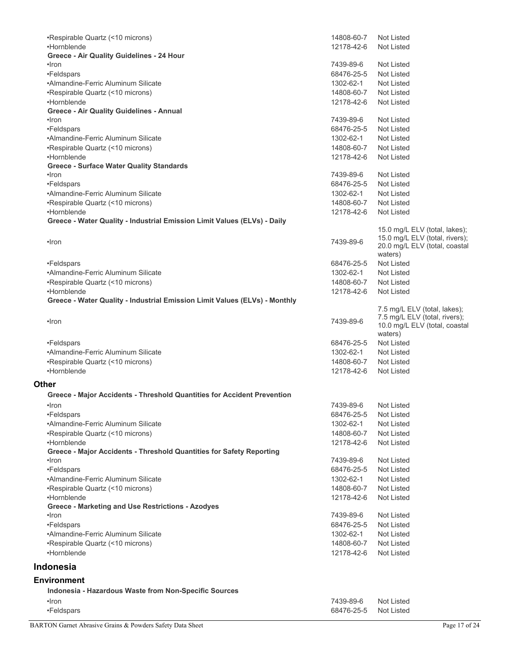| •Respirable Quartz (<10 microns)                                           | 14808-60-7 | Not Listed                                                     |
|----------------------------------------------------------------------------|------------|----------------------------------------------------------------|
| •Hornblende                                                                | 12178-42-6 | <b>Not Listed</b>                                              |
| Greece - Air Quality Guidelines - 24 Hour                                  |            |                                                                |
| •Iron                                                                      | 7439-89-6  | <b>Not Listed</b>                                              |
| •Feldspars                                                                 | 68476-25-5 | Not Listed                                                     |
| •Almandine-Ferric Aluminum Silicate                                        | 1302-62-1  | Not Listed                                                     |
| •Respirable Quartz (<10 microns)                                           | 14808-60-7 | Not Listed                                                     |
| •Hornblende                                                                | 12178-42-6 | Not Listed                                                     |
| <b>Greece - Air Quality Guidelines - Annual</b>                            |            |                                                                |
| •Iron                                                                      | 7439-89-6  | Not Listed                                                     |
| •Feldspars                                                                 | 68476-25-5 | Not Listed                                                     |
| •Almandine-Ferric Aluminum Silicate                                        | 1302-62-1  | Not Listed                                                     |
| •Respirable Quartz (<10 microns)                                           | 14808-60-7 | Not Listed                                                     |
| •Hornblende                                                                | 12178-42-6 | <b>Not Listed</b>                                              |
| <b>Greece - Surface Water Quality Standards</b>                            |            |                                                                |
| •Iron                                                                      | 7439-89-6  | <b>Not Listed</b>                                              |
| •Feldspars                                                                 | 68476-25-5 | Not Listed                                                     |
| •Almandine-Ferric Aluminum Silicate                                        | 1302-62-1  | Not Listed                                                     |
| •Respirable Quartz (<10 microns)                                           | 14808-60-7 | Not Listed                                                     |
| •Hornblende                                                                | 12178-42-6 | Not Listed                                                     |
| Greece - Water Quality - Industrial Emission Limit Values (ELVs) - Daily   |            |                                                                |
|                                                                            |            | 15.0 mg/L ELV (total, lakes);                                  |
| •Iron                                                                      | 7439-89-6  | 15.0 mg/L ELV (total, rivers);                                 |
|                                                                            |            | 20.0 mg/L ELV (total, coastal                                  |
|                                                                            |            | waters)                                                        |
| •Feldspars                                                                 | 68476-25-5 | Not Listed                                                     |
| •Almandine-Ferric Aluminum Silicate                                        | 1302-62-1  | Not Listed                                                     |
| •Respirable Quartz (<10 microns)                                           | 14808-60-7 | Not Listed                                                     |
| •Hornblende                                                                | 12178-42-6 | Not Listed                                                     |
| Greece - Water Quality - Industrial Emission Limit Values (ELVs) - Monthly |            |                                                                |
|                                                                            |            | 7.5 mg/L ELV (total, lakes);                                   |
| •Iron                                                                      | 7439-89-6  | 7.5 mg/L ELV (total, rivers);<br>10.0 mg/L ELV (total, coastal |
|                                                                            |            | waters)                                                        |
| •Feldspars                                                                 | 68476-25-5 | <b>Not Listed</b>                                              |
| •Almandine-Ferric Aluminum Silicate                                        | 1302-62-1  | <b>Not Listed</b>                                              |
| •Respirable Quartz (<10 microns)                                           | 14808-60-7 | Not Listed                                                     |
| •Hornblende                                                                | 12178-42-6 | <b>Not Listed</b>                                              |
|                                                                            |            |                                                                |
| <b>Other</b>                                                               |            |                                                                |
| Greece - Major Accidents - Threshold Quantities for Accident Prevention    |            |                                                                |
| $\cdot$ ron                                                                | 7439-89-6  | Not Listed                                                     |
| •Feldspars                                                                 | 68476-25-5 | Not Listed                                                     |
| •Almandine-Ferric Aluminum Silicate                                        | 1302-62-1  | <b>Not Listed</b>                                              |
| •Respirable Quartz (<10 microns)                                           | 14808-60-7 | Not Listed                                                     |
| •Hornblende                                                                | 12178-42-6 | <b>Not Listed</b>                                              |
| Greece - Major Accidents - Threshold Quantities for Safety Reporting       |            |                                                                |
| •Iron                                                                      | 7439-89-6  | <b>Not Listed</b>                                              |
| •Feldspars                                                                 | 68476-25-5 | <b>Not Listed</b>                                              |
| •Almandine-Ferric Aluminum Silicate                                        | 1302-62-1  | Not Listed                                                     |
| •Respirable Quartz (<10 microns)                                           | 14808-60-7 | Not Listed                                                     |
| •Hornblende                                                                | 12178-42-6 | <b>Not Listed</b>                                              |
| <b>Greece - Marketing and Use Restrictions - Azodyes</b>                   |            |                                                                |
| •Iron                                                                      | 7439-89-6  | <b>Not Listed</b>                                              |
| •Feldspars                                                                 | 68476-25-5 | Not Listed                                                     |
| •Almandine-Ferric Aluminum Silicate                                        | 1302-62-1  | Not Listed                                                     |
| •Respirable Quartz (<10 microns)                                           | 14808-60-7 | Not Listed                                                     |
| •Hornblende                                                                | 12178-42-6 | <b>Not Listed</b>                                              |
| <b>Indonesia</b>                                                           |            |                                                                |
|                                                                            |            |                                                                |
| <b>Environment</b>                                                         |            |                                                                |
| Indonesia - Hazardous Waste from Non-Specific Sources                      |            |                                                                |
| $\cdot$ Iron                                                               | 7439-89-6  | Not Listed                                                     |
| •Feldspars                                                                 | 68476-25-5 | <b>Not Listed</b>                                              |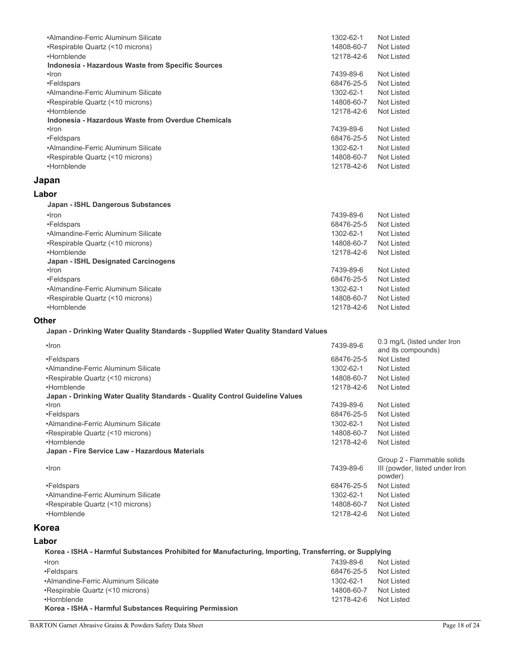| •Almandine-Ferric Aluminum Silicate                | 1302-62-1  | Not Listed |
|----------------------------------------------------|------------|------------|
| •Respirable Quartz (<10 microns)                   | 14808-60-7 | Not Listed |
| •Hornblende                                        | 12178-42-6 | Not Listed |
| Indonesia - Hazardous Waste from Specific Sources  |            |            |
| •Iron                                              | 7439-89-6  | Not Listed |
| •Feldspars                                         | 68476-25-5 | Not Listed |
| •Almandine-Ferric Aluminum Silicate                | 1302-62-1  | Not Listed |
| •Respirable Quartz (<10 microns)                   | 14808-60-7 | Not Listed |
| •Hornblende                                        | 12178-42-6 | Not Listed |
| Indonesia - Hazardous Waste from Overdue Chemicals |            |            |
| •Iron                                              | 7439-89-6  | Not Listed |
| •Feldspars                                         | 68476-25-5 | Not Listed |
| •Almandine-Ferric Aluminum Silicate                | 1302-62-1  | Not Listed |
| •Respirable Quartz (<10 microns)                   | 14808-60-7 | Not Listed |
| •Hornblende                                        | 12178-42-6 | Not Listed |
|                                                    |            |            |

## **Japan**

#### **Labor**

| Japan - ISHL Dangerous Substances          |            |            |
|--------------------------------------------|------------|------------|
| •Iron                                      | 7439-89-6  | Not Listed |
| •Feldspars                                 | 68476-25-5 | Not Listed |
| •Almandine-Ferric Aluminum Silicate        | 1302-62-1  | Not Listed |
| •Respirable Quartz (<10 microns)           | 14808-60-7 | Not Listed |
| •Hornblende                                | 12178-42-6 | Not Listed |
| <b>Japan - ISHL Designated Carcinogens</b> |            |            |
| $\cdot$ Iron                               | 7439-89-6  | Not Listed |
| •Feldspars                                 | 68476-25-5 | Not Listed |
| •Almandine-Ferric Aluminum Silicate        | 1302-62-1  | Not Listed |
| •Respirable Quartz (<10 microns)           | 14808-60-7 | Not Listed |
| •Hornblende                                | 12178-42-6 | Not Listed |
|                                            |            |            |

#### **Other**

**Japan - Drinking Water Quality Standards - Supplied Water Quality Standard Values**

| $\cdot$ Iron                                                                | 7439-89-6  | 0.3 mg/L (listed under Iron<br>and its compounds) |
|-----------------------------------------------------------------------------|------------|---------------------------------------------------|
| •Feldspars                                                                  | 68476-25-5 | Not Listed                                        |
| •Almandine-Ferric Aluminum Silicate                                         | 1302-62-1  | Not Listed                                        |
| •Respirable Quartz (<10 microns)                                            | 14808-60-7 | Not Listed                                        |
| •Hornblende                                                                 | 12178-42-6 | Not Listed                                        |
| Japan - Drinking Water Quality Standards - Quality Control Guideline Values |            |                                                   |
| •Iron                                                                       | 7439-89-6  | Not Listed                                        |
| •Feldspars                                                                  | 68476-25-5 | Not Listed                                        |
| •Almandine-Ferric Aluminum Silicate                                         | 1302-62-1  | Not Listed                                        |
| •Respirable Quartz (<10 microns)                                            | 14808-60-7 | Not Listed                                        |
| •Hornblende                                                                 | 12178-42-6 | Not Listed                                        |
| Japan - Fire Service Law - Hazardous Materials                              |            |                                                   |
|                                                                             |            | Group 2 - Flammable solids                        |
| $\cdot$ Iron                                                                | 7439-89-6  | III (powder, listed under Iron<br>powder)         |
| •Feldspars                                                                  | 68476-25-5 | Not Listed                                        |
| •Almandine-Ferric Aluminum Silicate                                         | 1302-62-1  | Not Listed                                        |
| •Respirable Quartz (<10 microns)                                            | 14808-60-7 | Not Listed                                        |
| •Hornblende                                                                 | 12178-42-6 | Not Listed                                        |
|                                                                             |            |                                                   |

# **Korea**

#### **Labor**

**Korea - ISHA - Harmful Substances Prohibited for Manufacturing, Importing, Transferring, or Supplying** •Iron 7439-89-6 Not Listed •Feldspars 68476-25-5 Not Listed •Almandine-Ferric Aluminum Silicate 1302-62-1 Not Listed •Respirable Quartz (<10 microns) 14808-60-7 Not Listed •Hornblende 12178-42-6 Not Listed **Korea - ISHA - Harmful Substances Requiring Permission**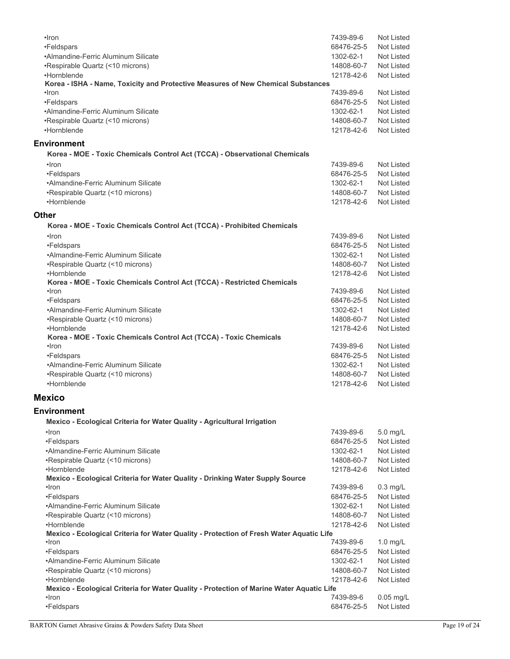| $\cdot$ Iron                                                                                      | 7439-89-6  | Not Listed        |
|---------------------------------------------------------------------------------------------------|------------|-------------------|
| •Feldspars                                                                                        | 68476-25-5 | Not Listed        |
| •Almandine-Ferric Aluminum Silicate                                                               | 1302-62-1  | Not Listed        |
| •Respirable Quartz (<10 microns)                                                                  | 14808-60-7 | Not Listed        |
| •Hornblende                                                                                       | 12178-42-6 | <b>Not Listed</b> |
| Korea - ISHA - Name, Toxicity and Protective Measures of New Chemical Substances                  |            |                   |
| •Iron                                                                                             | 7439-89-6  | <b>Not Listed</b> |
| •Feldspars                                                                                        | 68476-25-5 | Not Listed        |
| •Almandine-Ferric Aluminum Silicate                                                               | 1302-62-1  | Not Listed        |
| •Respirable Quartz (<10 microns)                                                                  | 14808-60-7 | Not Listed        |
| •Hornblende                                                                                       | 12178-42-6 | <b>Not Listed</b> |
| <b>Environment</b>                                                                                |            |                   |
| Korea - MOE - Toxic Chemicals Control Act (TCCA) - Observational Chemicals                        |            |                   |
| •Iron                                                                                             | 7439-89-6  | Not Listed        |
| •Feldspars                                                                                        | 68476-25-5 | Not Listed        |
| •Almandine-Ferric Aluminum Silicate                                                               | 1302-62-1  | Not Listed        |
| •Respirable Quartz (<10 microns)                                                                  | 14808-60-7 | Not Listed        |
| •Hornblende                                                                                       | 12178-42-6 | Not Listed        |
| <b>Other</b>                                                                                      |            |                   |
| Korea - MOE - Toxic Chemicals Control Act (TCCA) - Prohibited Chemicals                           |            |                   |
| ·Iron                                                                                             | 7439-89-6  | <b>Not Listed</b> |
| •Feldspars                                                                                        | 68476-25-5 | Not Listed        |
| •Almandine-Ferric Aluminum Silicate                                                               | 1302-62-1  | Not Listed        |
| •Respirable Quartz (<10 microns)                                                                  | 14808-60-7 | Not Listed        |
| •Hornblende                                                                                       | 12178-42-6 | <b>Not Listed</b> |
| Korea - MOE - Toxic Chemicals Control Act (TCCA) - Restricted Chemicals                           |            |                   |
| $\cdot$ Iron                                                                                      | 7439-89-6  | <b>Not Listed</b> |
| •Feldspars                                                                                        | 68476-25-5 | Not Listed        |
| •Almandine-Ferric Aluminum Silicate                                                               | 1302-62-1  | <b>Not Listed</b> |
| •Respirable Quartz (<10 microns)                                                                  | 14808-60-7 | Not Listed        |
| •Hornblende                                                                                       | 12178-42-6 | <b>Not Listed</b> |
| Korea - MOE - Toxic Chemicals Control Act (TCCA) - Toxic Chemicals                                |            |                   |
| •Iron                                                                                             | 7439-89-6  | <b>Not Listed</b> |
| •Feldspars                                                                                        | 68476-25-5 | Not Listed        |
| •Almandine-Ferric Aluminum Silicate                                                               | 1302-62-1  | Not Listed        |
| •Respirable Quartz (<10 microns)                                                                  | 14808-60-7 | Not Listed        |
| •Hornblende                                                                                       | 12178-42-6 | Not Listed        |
| <b>Mexico</b>                                                                                     |            |                   |
| <b>Environment</b>                                                                                |            |                   |
| Mexico - Ecological Criteria for Water Quality - Agricultural Irrigation                          |            |                   |
| •Iron                                                                                             | 7439-89-6  | 5.0 mg/L          |
| •Feldspars                                                                                        | 68476-25-5 | Not Listed        |
| •Almandine-Ferric Aluminum Silicate                                                               | 1302-62-1  | Not Listed        |
| •Respirable Quartz (<10 microns)                                                                  | 14808-60-7 | Not Listed        |
| •Hornblende                                                                                       | 12178-42-6 | Not Listed        |
| Mexico - Ecological Criteria for Water Quality - Drinking Water Supply Source                     |            |                   |
| •Iron                                                                                             | 7439-89-6  | $0.3$ mg/L        |
| •Feldspars                                                                                        | 68476-25-5 | <b>Not Listed</b> |
| •Almandine-Ferric Aluminum Silicate                                                               | 1302-62-1  | Not Listed        |
| •Respirable Quartz (<10 microns)                                                                  | 14808-60-7 | Not Listed        |
| •Hornblende                                                                                       | 12178-42-6 | <b>Not Listed</b> |
| Mexico - Ecological Criteria for Water Quality - Protection of Fresh Water Aquatic Life           |            |                   |
| •Iron                                                                                             | 7439-89-6  | $1.0$ mg/L        |
| •Feldspars                                                                                        | 68476-25-5 | Not Listed        |
| •Almandine-Ferric Aluminum Silicate                                                               | 1302-62-1  | Not Listed        |
| •Respirable Quartz (<10 microns)                                                                  | 14808-60-7 | Not Listed        |
| •Hornblende                                                                                       | 12178-42-6 | Not Listed        |
| Mexico - Ecological Criteria for Water Quality - Protection of Marine Water Aquatic Life<br>•Iron | 7439-89-6  | $0.05$ mg/L       |
| •Feldspars                                                                                        | 68476-25-5 | Not Listed        |
|                                                                                                   |            |                   |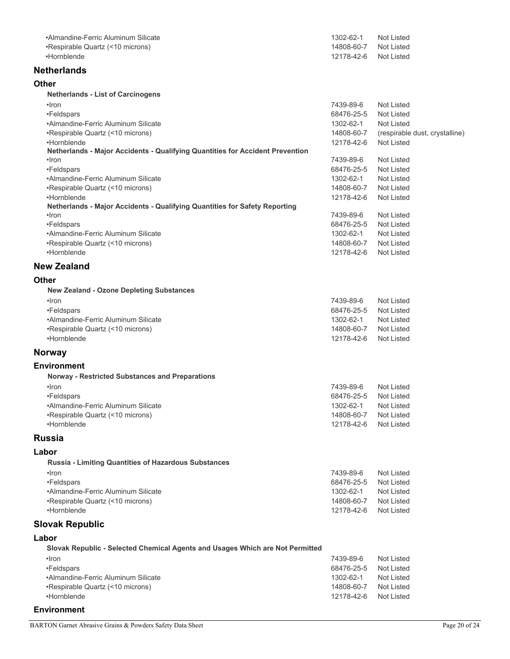| •Almandine-Ferric Aluminum Silicate                                                          | 1302-62-1               | <b>Not Listed</b>              |
|----------------------------------------------------------------------------------------------|-------------------------|--------------------------------|
| •Respirable Quartz (<10 microns)                                                             | 14808-60-7              | <b>Not Listed</b>              |
| •Hornblende                                                                                  | 12178-42-6              | Not Listed                     |
|                                                                                              |                         |                                |
| <b>Netherlands</b>                                                                           |                         |                                |
| Other                                                                                        |                         |                                |
| <b>Netherlands - List of Carcinogens</b>                                                     |                         |                                |
| •Iron                                                                                        | 7439-89-6               | <b>Not Listed</b>              |
|                                                                                              |                         |                                |
| •Feldspars<br>•Almandine-Ferric Aluminum Silicate                                            | 68476-25-5<br>1302-62-1 | <b>Not Listed</b>              |
|                                                                                              |                         | <b>Not Listed</b>              |
| •Respirable Quartz (<10 microns)                                                             | 14808-60-7              | (respirable dust, crystalline) |
| •Hornblende<br>Netherlands - Major Accidents - Qualifying Quantities for Accident Prevention | 12178-42-6              | <b>Not Listed</b>              |
| •Iron                                                                                        | 7439-89-6               | <b>Not Listed</b>              |
|                                                                                              |                         | <b>Not Listed</b>              |
| •Feldspars<br>•Almandine-Ferric Aluminum Silicate                                            | 68476-25-5              |                                |
|                                                                                              | 1302-62-1               | <b>Not Listed</b>              |
| •Respirable Quartz (<10 microns)                                                             | 14808-60-7              | <b>Not Listed</b>              |
| •Hornblende<br>Netherlands - Major Accidents - Qualifying Quantities for Safety Reporting    | 12178-42-6              | Not Listed                     |
| •Iron                                                                                        | 7439-89-6               | <b>Not Listed</b>              |
| •Feldspars                                                                                   | 68476-25-5              | <b>Not Listed</b>              |
| •Almandine-Ferric Aluminum Silicate                                                          | 1302-62-1               | <b>Not Listed</b>              |
|                                                                                              | 14808-60-7              | <b>Not Listed</b>              |
| •Respirable Quartz (<10 microns)<br>•Hornblende                                              | 12178-42-6              | Not Listed                     |
|                                                                                              |                         |                                |
| <b>New Zealand</b>                                                                           |                         |                                |
| Other                                                                                        |                         |                                |
|                                                                                              |                         |                                |
| <b>New Zealand - Ozone Depleting Substances</b>                                              |                         |                                |
| $\cdot$ Iron                                                                                 | 7439-89-6               | <b>Not Listed</b>              |
| •Feldspars                                                                                   | 68476-25-5              | <b>Not Listed</b>              |
| •Almandine-Ferric Aluminum Silicate                                                          | 1302-62-1               | Not Listed                     |
| •Respirable Quartz (<10 microns)                                                             | 14808-60-7              | <b>Not Listed</b>              |
| •Hornblende                                                                                  | 12178-42-6              | <b>Not Listed</b>              |
| Norway                                                                                       |                         |                                |
|                                                                                              |                         |                                |
| <b>Environment</b>                                                                           |                         |                                |
| <b>Norway - Restricted Substances and Preparations</b>                                       |                         |                                |
| $\cdot$ Iron                                                                                 | 7439-89-6               | Not Listed                     |
| •Feldspars                                                                                   | 68476-25-5              | Not Listed                     |
| •Almandine-Ferric Aluminum Silicate                                                          | 1302-62-1               | Not Listed                     |
| •Respirable Quartz (<10 microns)                                                             | 14808-60-7              | <b>Not Listed</b>              |
| •Hornblende                                                                                  | 12178-42-6              | Not Listed                     |
| Russia                                                                                       |                         |                                |
|                                                                                              |                         |                                |
| Labor                                                                                        |                         |                                |
| <b>Russia - Limiting Quantities of Hazardous Substances</b>                                  |                         |                                |
| $\cdot$ Iron                                                                                 | 7439-89-6               | <b>Not Listed</b>              |
| •Feldspars                                                                                   | 68476-25-5              | <b>Not Listed</b>              |
| •Almandine-Ferric Aluminum Silicate                                                          | 1302-62-1               | Not Listed                     |
| •Respirable Quartz (<10 microns)                                                             | 14808-60-7              | Not Listed                     |
| •Hornblende                                                                                  | 12178-42-6              | Not Listed                     |
|                                                                                              |                         |                                |
| <b>Slovak Republic</b>                                                                       |                         |                                |
| Labor                                                                                        |                         |                                |
| Slovak Republic - Selected Chemical Agents and Usages Which are Not Permitted                |                         |                                |
| •Iron                                                                                        | 7439-89-6               | <b>Not Listed</b>              |
| •Feldspars                                                                                   | 68476-25-5              | <b>Not Listed</b>              |
| •Almandine-Ferric Aluminum Silicate                                                          | 1302-62-1               | <b>Not Listed</b>              |
| •Respirable Quartz (<10 microns)                                                             | 14808-60-7              | Not Listed                     |
| •Hornblende                                                                                  | 12178-42-6              | Not Listed                     |
|                                                                                              |                         |                                |

**Environment**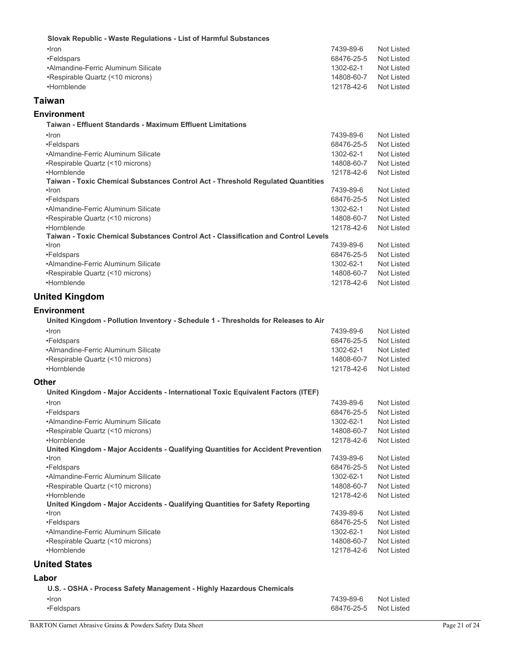| Slovak Republic - Waste Regulations - List of Harmful Substances                                |            |                   |
|-------------------------------------------------------------------------------------------------|------------|-------------------|
| ·Iron                                                                                           | 7439-89-6  | <b>Not Listed</b> |
| •Feldspars                                                                                      | 68476-25-5 | Not Listed        |
| •Almandine-Ferric Aluminum Silicate                                                             | 1302-62-1  | Not Listed        |
| •Respirable Quartz (<10 microns)                                                                | 14808-60-7 | Not Listed        |
| •Hornblende                                                                                     | 12178-42-6 | <b>Not Listed</b> |
| Taiwan                                                                                          |            |                   |
| Environment                                                                                     |            |                   |
| Taiwan - Effluent Standards - Maximum Effluent Limitations                                      |            |                   |
| $\cdot$ Iron                                                                                    | 7439-89-6  | <b>Not Listed</b> |
| •Feldspars                                                                                      | 68476-25-5 | Not Listed        |
| •Almandine-Ferric Aluminum Silicate                                                             | 1302-62-1  | Not Listed        |
| •Respirable Quartz (<10 microns)                                                                | 14808-60-7 | Not Listed        |
| •Hornblende                                                                                     | 12178-42-6 | <b>Not Listed</b> |
| Taiwan - Toxic Chemical Substances Control Act - Threshold Regulated Quantities<br>$\cdot$ Iron | 7439-89-6  | <b>Not Listed</b> |
| •Feldspars                                                                                      | 68476-25-5 | Not Listed        |
| •Almandine-Ferric Aluminum Silicate                                                             | 1302-62-1  | Not Listed        |
| •Respirable Quartz (<10 microns)                                                                | 14808-60-7 | Not Listed        |
| •Hornblende                                                                                     | 12178-42-6 | <b>Not Listed</b> |
| Taiwan - Toxic Chemical Substances Control Act - Classification and Control Levels              |            |                   |
| $\cdot$ Iron                                                                                    | 7439-89-6  | <b>Not Listed</b> |
| •Feldspars                                                                                      | 68476-25-5 | Not Listed        |
| •Almandine-Ferric Aluminum Silicate                                                             | 1302-62-1  | Not Listed        |
| •Respirable Quartz (<10 microns)                                                                | 14808-60-7 | Not Listed        |
| •Hornblende                                                                                     | 12178-42-6 | <b>Not Listed</b> |
| <b>United Kingdom</b>                                                                           |            |                   |
| Environment                                                                                     |            |                   |
| United Kingdom - Pollution Inventory - Schedule 1 - Thresholds for Releases to Air              |            |                   |
| $\cdot$ Iron                                                                                    | 7439-89-6  | <b>Not Listed</b> |
| •Feldspars                                                                                      | 68476-25-5 | Not Listed        |
| •Almandine-Ferric Aluminum Silicate                                                             | 1302-62-1  | Not Listed        |
| •Respirable Quartz (<10 microns)                                                                | 14808-60-7 | Not Listed        |
| •Hornblende                                                                                     | 12178-42-6 | Not Listed        |
| Other                                                                                           |            |                   |
| United Kingdom - Major Accidents - International Toxic Equivalent Factors (ITEF)                |            |                   |
| •Iron                                                                                           | 7439-89-6  | <b>Not Listed</b> |
| •Feldspars                                                                                      | 68476-25-5 | <b>Not Listed</b> |
| •Almandine-Ferric Aluminum Silicate                                                             | 1302-62-1  | Not Listed        |
| •Respirable Quartz (<10 microns)                                                                | 14808-60-7 | Not Listed        |
| •Hornblende                                                                                     | 12178-42-6 | Not Listed        |
| United Kingdom - Major Accidents - Qualifying Quantities for Accident Prevention<br>•Iron       | 7439-89-6  | Not Listed        |
| •Feldspars                                                                                      | 68476-25-5 | Not Listed        |
| •Almandine-Ferric Aluminum Silicate                                                             | 1302-62-1  | Not Listed        |
| •Respirable Quartz (<10 microns)                                                                | 14808-60-7 | Not Listed        |
| •Hornblende                                                                                     | 12178-42-6 | Not Listed        |
| United Kingdom - Major Accidents - Qualifying Quantities for Safety Reporting                   |            |                   |
| •Iron                                                                                           | 7439-89-6  | Not Listed        |
| •Feldspars                                                                                      | 68476-25-5 | Not Listed        |
| •Almandine-Ferric Aluminum Silicate                                                             | 1302-62-1  | Not Listed        |
| •Respirable Quartz (<10 microns)                                                                | 14808-60-7 | Not Listed        |
| •Hornblende                                                                                     | 12178-42-6 | Not Listed        |
| <b>United States</b>                                                                            |            |                   |
| Labor                                                                                           |            |                   |
| U.S. - OSHA - Process Safety Management - Highly Hazardous Chemicals                            |            |                   |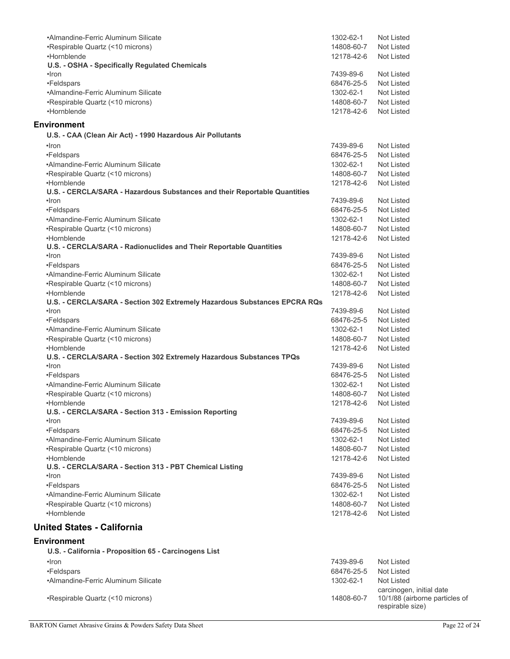| •Almandine-Ferric Aluminum Silicate                                       | 1302-62-1  | Not Listed                                         |
|---------------------------------------------------------------------------|------------|----------------------------------------------------|
| •Respirable Quartz (<10 microns)                                          | 14808-60-7 | Not Listed                                         |
| •Hornblende                                                               | 12178-42-6 | Not Listed                                         |
| U.S. - OSHA - Specifically Regulated Chemicals                            |            |                                                    |
| •Iron                                                                     | 7439-89-6  | Not Listed                                         |
| •Feldspars                                                                | 68476-25-5 | Not Listed                                         |
| •Almandine-Ferric Aluminum Silicate                                       | 1302-62-1  | Not Listed                                         |
| •Respirable Quartz (<10 microns)                                          | 14808-60-7 | Not Listed                                         |
| •Hornblende                                                               | 12178-42-6 | Not Listed                                         |
|                                                                           |            |                                                    |
| Environment                                                               |            |                                                    |
| U.S. - CAA (Clean Air Act) - 1990 Hazardous Air Pollutants                |            |                                                    |
| $\cdot$ Iron                                                              | 7439-89-6  | Not Listed                                         |
| •Feldspars                                                                | 68476-25-5 | Not Listed                                         |
| •Almandine-Ferric Aluminum Silicate                                       | 1302-62-1  | Not Listed                                         |
| •Respirable Quartz (<10 microns)                                          | 14808-60-7 | Not Listed                                         |
| •Hornblende                                                               |            |                                                    |
| U.S. - CERCLA/SARA - Hazardous Substances and their Reportable Quantities | 12178-42-6 | Not Listed                                         |
| $\cdot$ Iron                                                              | 7439-89-6  | Not Listed                                         |
|                                                                           |            | Not Listed                                         |
| •Feldspars                                                                | 68476-25-5 |                                                    |
| •Almandine-Ferric Aluminum Silicate                                       | 1302-62-1  | Not Listed                                         |
| •Respirable Quartz (<10 microns)                                          | 14808-60-7 | Not Listed                                         |
| •Hornblende                                                               | 12178-42-6 | <b>Not Listed</b>                                  |
| U.S. - CERCLA/SARA - Radionuclides and Their Reportable Quantities        |            |                                                    |
| ·Iron                                                                     | 7439-89-6  | Not Listed                                         |
| •Feldspars                                                                | 68476-25-5 | Not Listed                                         |
| •Almandine-Ferric Aluminum Silicate                                       | 1302-62-1  | Not Listed                                         |
| •Respirable Quartz (<10 microns)                                          | 14808-60-7 | Not Listed                                         |
| •Hornblende                                                               | 12178-42-6 | Not Listed                                         |
| U.S. - CERCLA/SARA - Section 302 Extremely Hazardous Substances EPCRA RQs |            |                                                    |
| $\cdot$ Iron                                                              | 7439-89-6  | Not Listed                                         |
| •Feldspars                                                                | 68476-25-5 | Not Listed                                         |
| •Almandine-Ferric Aluminum Silicate                                       | 1302-62-1  | Not Listed                                         |
| •Respirable Quartz (<10 microns)                                          | 14808-60-7 | Not Listed                                         |
| •Hornblende                                                               | 12178-42-6 | Not Listed                                         |
| U.S. - CERCLA/SARA - Section 302 Extremely Hazardous Substances TPQs      |            |                                                    |
| ·Iron                                                                     | 7439-89-6  | Not Listed                                         |
| •Feldspars                                                                | 68476-25-5 | Not Listed                                         |
| •Almandine-Ferric Aluminum Silicate                                       | 1302-62-1  | Not Listed                                         |
| •Respirable Quartz (<10 microns)                                          | 14808-60-7 | Not Listed                                         |
| •Hornblende                                                               | 12178-42-6 | <b>Not Listed</b>                                  |
| U.S. - CERCLA/SARA - Section 313 - Emission Reporting                     |            |                                                    |
| $\cdot$ Iron                                                              | 7439-89-6  | Not Listed                                         |
| •Feldspars                                                                | 68476-25-5 | Not Listed                                         |
| •Almandine-Ferric Aluminum Silicate                                       | 1302-62-1  | Not Listed                                         |
| •Respirable Quartz (<10 microns)                                          | 14808-60-7 | Not Listed                                         |
| •Hornblende                                                               | 12178-42-6 | Not Listed                                         |
| U.S. - CERCLA/SARA - Section 313 - PBT Chemical Listing                   |            |                                                    |
| $\cdot$ Iron                                                              | 7439-89-6  | Not Listed                                         |
| •Feldspars                                                                | 68476-25-5 | Not Listed                                         |
| •Almandine-Ferric Aluminum Silicate                                       | 1302-62-1  | Not Listed                                         |
|                                                                           |            |                                                    |
| •Respirable Quartz (<10 microns)                                          | 14808-60-7 | Not Listed                                         |
| •Hornblende                                                               | 12178-42-6 | Not Listed                                         |
| <b>United States - California</b>                                         |            |                                                    |
|                                                                           |            |                                                    |
| Environment                                                               |            |                                                    |
| U.S. - California - Proposition 65 - Carcinogens List                     |            |                                                    |
| $\cdot$ Iron                                                              | 7439-89-6  | Not Listed                                         |
| •Feldspars                                                                | 68476-25-5 | Not Listed                                         |
| •Almandine-Ferric Aluminum Silicate                                       | 1302-62-1  | Not Listed                                         |
|                                                                           |            | carcinogen, initial date                           |
| •Respirable Quartz (<10 microns)                                          | 14808-60-7 | 10/1/88 (airborne particles of<br>respirable size) |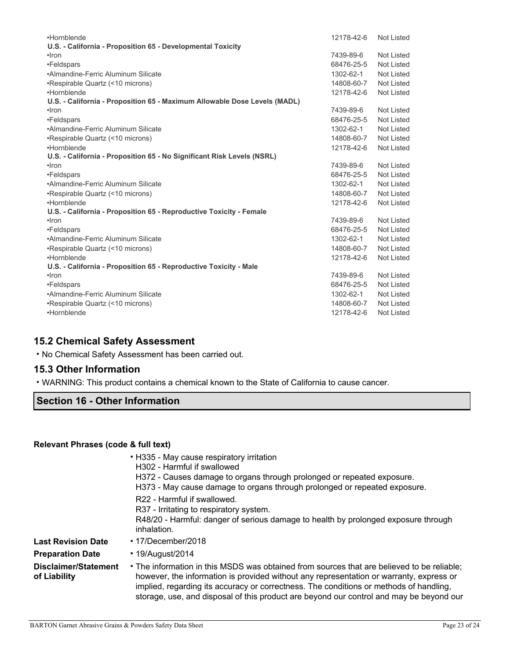| •Hornblende                                                               | 12178-42-6 | Not Listed |
|---------------------------------------------------------------------------|------------|------------|
| U.S. - California - Proposition 65 - Developmental Toxicity               |            |            |
| •Iron                                                                     | 7439-89-6  | Not Listed |
| •Feldspars                                                                | 68476-25-5 | Not Listed |
| •Almandine-Ferric Aluminum Silicate                                       | 1302-62-1  | Not Listed |
| •Respirable Quartz (<10 microns)                                          | 14808-60-7 | Not Listed |
| •Hornblende                                                               | 12178-42-6 | Not Listed |
| U.S. - California - Proposition 65 - Maximum Allowable Dose Levels (MADL) |            |            |
| $\cdot$ Iron                                                              | 7439-89-6  | Not Listed |
| •Feldspars                                                                | 68476-25-5 | Not Listed |
| •Almandine-Ferric Aluminum Silicate                                       | 1302-62-1  | Not Listed |
| •Respirable Quartz (<10 microns)                                          | 14808-60-7 | Not Listed |
| •Hornblende                                                               | 12178-42-6 | Not Listed |
| U.S. - California - Proposition 65 - No Significant Risk Levels (NSRL)    |            |            |
| $\cdot$ Iron                                                              | 7439-89-6  | Not Listed |
| •Feldspars                                                                | 68476-25-5 | Not Listed |
| •Almandine-Ferric Aluminum Silicate                                       | 1302-62-1  | Not Listed |
| •Respirable Quartz (<10 microns)                                          | 14808-60-7 | Not Listed |
| •Hornblende                                                               | 12178-42-6 | Not Listed |
| U.S. - California - Proposition 65 - Reproductive Toxicity - Female       |            |            |
| $\cdot$ Iron                                                              | 7439-89-6  | Not Listed |
| •Feldspars                                                                | 68476-25-5 | Not Listed |
| •Almandine-Ferric Aluminum Silicate                                       | 1302-62-1  | Not Listed |
| •Respirable Quartz (<10 microns)                                          | 14808-60-7 | Not Listed |
| •Hornblende                                                               | 12178-42-6 | Not Listed |
| U.S. - California - Proposition 65 - Reproductive Toxicity - Male         |            |            |
| $\cdot$ Iron                                                              | 7439-89-6  | Not Listed |
| •Feldspars                                                                | 68476-25-5 | Not Listed |
| •Almandine-Ferric Aluminum Silicate                                       | 1302-62-1  | Not Listed |
| •Respirable Quartz (<10 microns)                                          | 14808-60-7 | Not Listed |
| •Hornblende                                                               | 12178-42-6 | Not Listed |

## **15.2 Chemical Safety Assessment**

• No Chemical Safety Assessment has been carried out.

## **15.3 Other Information**

• WARNING: This product contains a chemical known to the State of California to cause cancer.

# **Section 16 - Other Information**

#### **Relevant Phrases (code & full text)**

|                                      | • H335 - May cause respiratory irritation<br>H302 - Harmful if swallowed<br>H372 - Causes damage to organs through prolonged or repeated exposure.<br>H373 - May cause damage to organs through prolonged or repeated exposure.                                                                                                                                            |
|--------------------------------------|----------------------------------------------------------------------------------------------------------------------------------------------------------------------------------------------------------------------------------------------------------------------------------------------------------------------------------------------------------------------------|
|                                      | R22 - Harmful if swallowed.<br>R37 - Irritating to respiratory system.<br>R48/20 - Harmful: danger of serious damage to health by prolonged exposure through<br>inhalation.                                                                                                                                                                                                |
| <b>Last Revision Date</b>            | $\cdot$ 17/December/2018                                                                                                                                                                                                                                                                                                                                                   |
| <b>Preparation Date</b>              | $\cdot$ 19/August/2014                                                                                                                                                                                                                                                                                                                                                     |
| Disclaimer/Statement<br>of Liability | • The information in this MSDS was obtained from sources that are believed to be reliable;<br>however, the information is provided without any representation or warranty, express or<br>implied, regarding its accuracy or correctness. The conditions or methods of handling,<br>storage, use, and disposal of this product are beyond our control and may be beyond our |